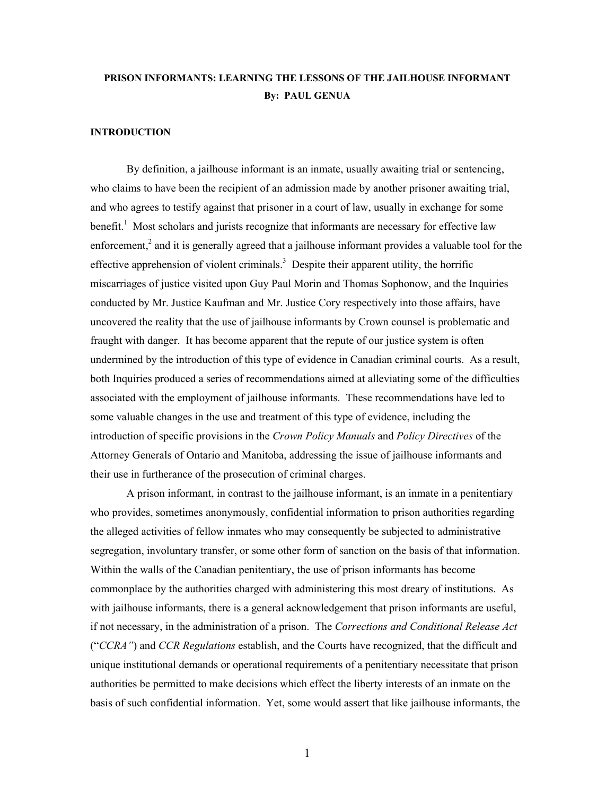# **PRISON INFORMANTS: LEARNING THE LESSONS OF THE JAILHOUSE INFORMANT By: PAUL GENUA**

#### **INTRODUCTION**

By definition, a jailhouse informant is an inmate, usually awaiting trial or sentencing, who claims to have been the recipient of an admission made by another prisoner awaiting trial, and who agrees to testify against that prisoner in a court of law, usually in exchange for some  $b$ enefit.<sup>1</sup> Most scholars and jurists recognize that informants are necessary for effective law enforcement,<sup>2</sup> and it is generally agreed that a jailhouse informant provides a valuable tool for the effective apprehension of violent criminals.<sup>3</sup> Despite their apparent utility, the horrific miscarriages of justice visited upon Guy Paul Morin and Thomas Sophonow, and the Inquiries conducted by Mr. Justice Kaufman and Mr. Justice Cory respectively into those affairs, have uncovered the reality that the use of jailhouse informants by Crown counsel is problematic and fraught with danger. It has become apparent that the repute of our justice system is often undermined by the introduction of this type of evidence in Canadian criminal courts. As a result, both Inquiries produced a series of recommendations aimed at alleviating some of the difficulties associated with the employment of jailhouse informants. These recommendations have led to some valuable changes in the use and treatment of this type of evidence, including the introduction of specific provisions in the *Crown Policy Manuals* and *Policy Directives* of the Attorney Generals of Ontario and Manitoba, addressing the issue of jailhouse informants and their use in furtherance of the prosecution of criminal charges.

A prison informant, in contrast to the jailhouse informant, is an inmate in a penitentiary who provides, sometimes anonymously, confidential information to prison authorities regarding the alleged activities of fellow inmates who may consequently be subjected to administrative segregation, involuntary transfer, or some other form of sanction on the basis of that information. Within the walls of the Canadian penitentiary, the use of prison informants has become commonplace by the authorities charged with administering this most dreary of institutions. As with jailhouse informants, there is a general acknowledgement that prison informants are useful, if not necessary, in the administration of a prison. The *Corrections and Conditional Release Act* ("*CCRA"*) and *CCR Regulations* establish, and the Courts have recognized, that the difficult and unique institutional demands or operational requirements of a penitentiary necessitate that prison authorities be permitted to make decisions which effect the liberty interests of an inmate on the basis of such confidential information. Yet, some would assert that like jailhouse informants, the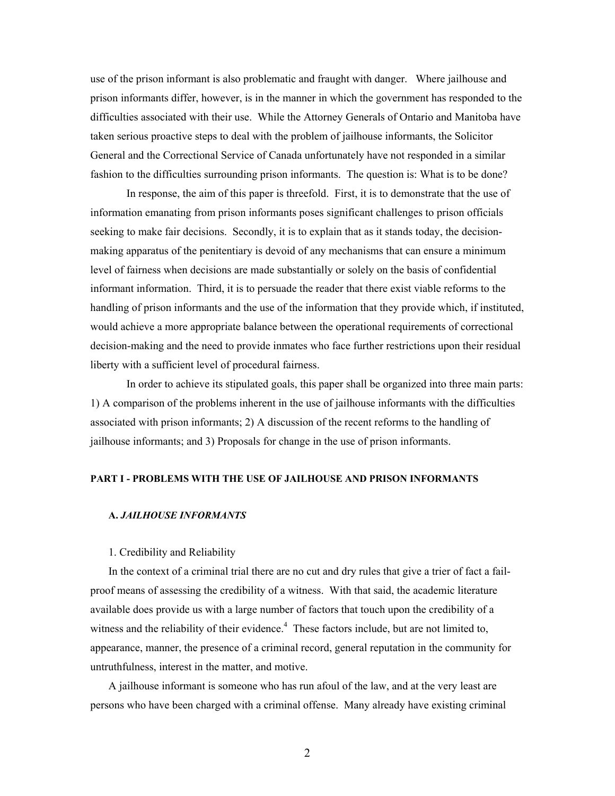use of the prison informant is also problematic and fraught with danger. Where jailhouse and prison informants differ, however, is in the manner in which the government has responded to the difficulties associated with their use. While the Attorney Generals of Ontario and Manitoba have taken serious proactive steps to deal with the problem of jailhouse informants, the Solicitor General and the Correctional Service of Canada unfortunately have not responded in a similar fashion to the difficulties surrounding prison informants. The question is: What is to be done?

In response, the aim of this paper is threefold. First, it is to demonstrate that the use of information emanating from prison informants poses significant challenges to prison officials seeking to make fair decisions. Secondly, it is to explain that as it stands today, the decisionmaking apparatus of the penitentiary is devoid of any mechanisms that can ensure a minimum level of fairness when decisions are made substantially or solely on the basis of confidential informant information. Third, it is to persuade the reader that there exist viable reforms to the handling of prison informants and the use of the information that they provide which, if instituted, would achieve a more appropriate balance between the operational requirements of correctional decision-making and the need to provide inmates who face further restrictions upon their residual liberty with a sufficient level of procedural fairness.

In order to achieve its stipulated goals, this paper shall be organized into three main parts: 1) A comparison of the problems inherent in the use of jailhouse informants with the difficulties associated with prison informants; 2) A discussion of the recent reforms to the handling of jailhouse informants; and 3) Proposals for change in the use of prison informants.

#### **PART I - PROBLEMS WITH THE USE OF JAILHOUSE AND PRISON INFORMANTS**

#### **A.** *JAILHOUSE INFORMANTS*

#### 1. Credibility and Reliability

In the context of a criminal trial there are no cut and dry rules that give a trier of fact a failproof means of assessing the credibility of a witness. With that said, the academic literature available does provide us with a large number of factors that touch upon the credibility of a witness and the reliability of their evidence.<sup>4</sup> These factors include, but are not limited to, appearance, manner, the presence of a criminal record, general reputation in the community for untruthfulness, interest in the matter, and motive.

A jailhouse informant is someone who has run afoul of the law, and at the very least are persons who have been charged with a criminal offense. Many already have existing criminal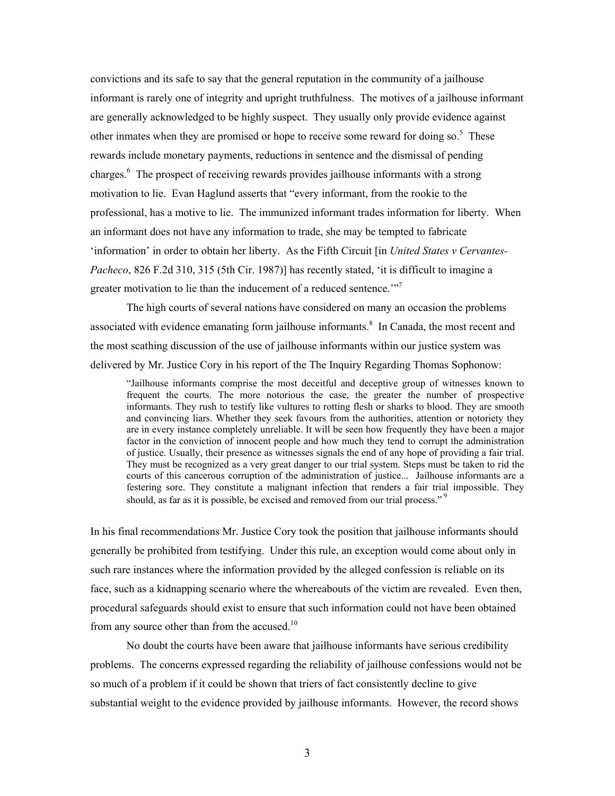convictions and its safe to say that the general reputation in the community of a jailhouse informant is rarely one of integrity and upright truthfulness. The motives of a jailhouse informant are generally acknowledged to be highly suspect. They usually only provide evidence against other inmates when they are promised or hope to receive some reward for doing so.<sup>5</sup> These rewards include monetary payments, reductions in sentence and the dismissal of pending charges.<sup>6</sup> The prospect of receiving rewards provides jailhouse informants with a strong motivation to lie. Evan Haglund asserts that "every informant, from the rookie to the professional, has a motive to lie. The immunized informant trades information for liberty. When an informant does not have any information to trade, she may be tempted to fabricate 'information' in order to obtain her liberty. As the Fifth Circuit [in *United States v Cervantes-Pacheco*, 826 F.2d 310, 315 (5th Cir. 1987)] has recently stated, 'it is difficult to imagine a greater motivation to lie than the inducement of a reduced sentence."<sup>77</sup>

The high courts of several nations have considered on many an occasion the problems associated with evidence emanating form jailhouse informants.<sup>8</sup> In Canada, the most recent and the most scathing discussion of the use of jailhouse informants within our justice system was delivered by Mr. Justice Cory in his report of the The Inquiry Regarding Thomas Sophonow:

"Jailhouse informants comprise the most deceitful and deceptive group of witnesses known to frequent the courts. The more notorious the case, the greater the number of prospective informants. They rush to testify like vultures to rotting flesh or sharks to blood. They are smooth and convincing liars. Whether they seek favours from the authorities, attention or notoriety they are in every instance completely unreliable. It will be seen how frequently they have been a major factor in the conviction of innocent people and how much they tend to corrupt the administration of justice. Usually, their presence as witnesses signals the end of any hope of providing a fair trial. They must be recognized as a very great danger to our trial system. Steps must be taken to rid the courts of this cancerous corruption of the administration of justice... Jailhouse informants are a festering sore. They constitute a malignant infection that renders a fair trial impossible. They should, as far as it is possible, be excised and removed from our trial process."<sup>9</sup>

In his final recommendations Mr. Justice Cory took the position that jailhouse informants should generally be prohibited from testifying. Under this rule, an exception would come about only in such rare instances where the information provided by the alleged confession is reliable on its face, such as a kidnapping scenario where the whereabouts of the victim are revealed. Even then, procedural safeguards should exist to ensure that such information could not have been obtained from any source other than from the accused.<sup>10</sup>

No doubt the courts have been aware that jailhouse informants have serious credibility problems. The concerns expressed regarding the reliability of jailhouse confessions would not be so much of a problem if it could be shown that triers of fact consistently decline to give substantial weight to the evidence provided by jailhouse informants. However, the record shows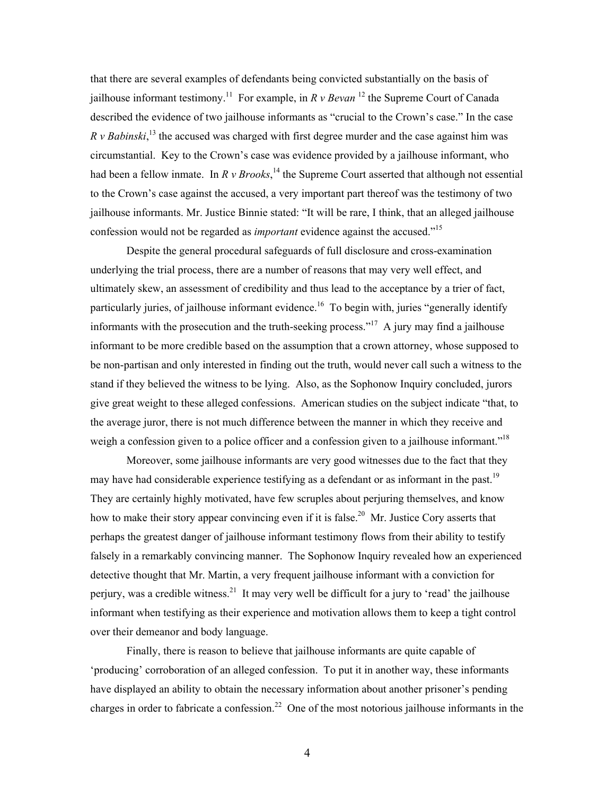that there are several examples of defendants being convicted substantially on the basis of jailhouse informant testimony.<sup>11</sup> For example, in  $R v Bevan$ <sup>12</sup> the Supreme Court of Canada described the evidence of two jailhouse informants as "crucial to the Crown's case." In the case *R v Babinski*, 13 the accused was charged with first degree murder and the case against him was circumstantial. Key to the Crown's case was evidence provided by a jailhouse informant, who had been a fellow inmate. In *R v Brooks*,<sup>14</sup> the Supreme Court asserted that although not essential to the Crown's case against the accused, a very important part thereof was the testimony of two jailhouse informants. Mr. Justice Binnie stated: "It will be rare, I think, that an alleged jailhouse confession would not be regarded as *important* evidence against the accused."15

Despite the general procedural safeguards of full disclosure and cross-examination underlying the trial process, there are a number of reasons that may very well effect, and ultimately skew, an assessment of credibility and thus lead to the acceptance by a trier of fact, particularly juries, of jailhouse informant evidence.<sup>16</sup> To begin with, juries "generally identify informants with the prosecution and the truth-seeking process."<sup>17</sup> A jury may find a jailhouse informant to be more credible based on the assumption that a crown attorney, whose supposed to be non-partisan and only interested in finding out the truth, would never call such a witness to the stand if they believed the witness to be lying. Also, as the Sophonow Inquiry concluded, jurors give great weight to these alleged confessions. American studies on the subject indicate "that, to the average juror, there is not much difference between the manner in which they receive and weigh a confession given to a police officer and a confession given to a jailhouse informant."<sup>18</sup>

Moreover, some jailhouse informants are very good witnesses due to the fact that they may have had considerable experience testifying as a defendant or as informant in the past.<sup>19</sup> They are certainly highly motivated, have few scruples about perjuring themselves, and know how to make their story appear convincing even if it is false.<sup>20</sup> Mr. Justice Cory asserts that perhaps the greatest danger of jailhouse informant testimony flows from their ability to testify falsely in a remarkably convincing manner. The Sophonow Inquiry revealed how an experienced detective thought that Mr. Martin, a very frequent jailhouse informant with a conviction for perjury, was a credible witness.<sup>21</sup> It may very well be difficult for a jury to 'read' the jailhouse informant when testifying as their experience and motivation allows them to keep a tight control over their demeanor and body language.

Finally, there is reason to believe that jailhouse informants are quite capable of 'producing' corroboration of an alleged confession. To put it in another way, these informants have displayed an ability to obtain the necessary information about another prisoner's pending charges in order to fabricate a confession. 22 One of the most notorious jailhouse informants in the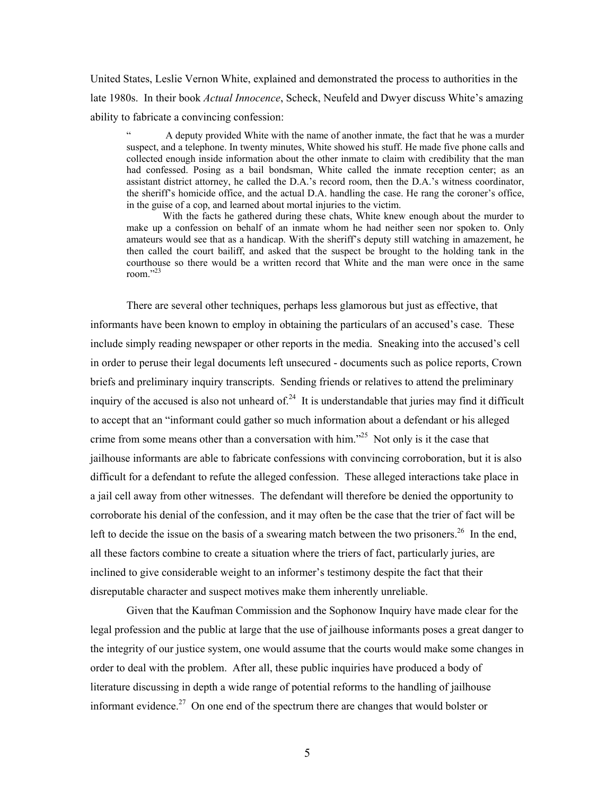United States, Leslie Vernon White, explained and demonstrated the process to authorities in the late 1980s. In their book *Actual Innocence*, Scheck, Neufeld and Dwyer discuss White's amazing ability to fabricate a convincing confession:

" A deputy provided White with the name of another inmate, the fact that he was a murder suspect, and a telephone. In twenty minutes, White showed his stuff. He made five phone calls and collected enough inside information about the other inmate to claim with credibility that the man had confessed. Posing as a bail bondsman, White called the inmate reception center; as an assistant district attorney, he called the D.A.'s record room, then the D.A.'s witness coordinator, the sheriff's homicide office, and the actual D.A. handling the case. He rang the coroner's office, in the guise of a cop, and learned about mortal injuries to the victim.

With the facts he gathered during these chats, White knew enough about the murder to make up a confession on behalf of an inmate whom he had neither seen nor spoken to. Only amateurs would see that as a handicap. With the sheriff's deputy still watching in amazement, he then called the court bailiff, and asked that the suspect be brought to the holding tank in the courthouse so there would be a written record that White and the man were once in the same room $^{323}$ 

There are several other techniques, perhaps less glamorous but just as effective, that informants have been known to employ in obtaining the particulars of an accused's case. These include simply reading newspaper or other reports in the media. Sneaking into the accused's cell in order to peruse their legal documents left unsecured - documents such as police reports, Crown briefs and preliminary inquiry transcripts. Sending friends or relatives to attend the preliminary inquiry of the accused is also not unheard of.<sup>24</sup> It is understandable that juries may find it difficult to accept that an "informant could gather so much information about a defendant or his alleged crime from some means other than a conversation with him."<sup>25</sup> Not only is it the case that jailhouse informants are able to fabricate confessions with convincing corroboration, but it is also difficult for a defendant to refute the alleged confession. These alleged interactions take place in a jail cell away from other witnesses. The defendant will therefore be denied the opportunity to corroborate his denial of the confession, and it may often be the case that the trier of fact will be left to decide the issue on the basis of a swearing match between the two prisoners.<sup>26</sup> In the end, all these factors combine to create a situation where the triers of fact, particularly juries, are inclined to give considerable weight to an informer's testimony despite the fact that their disreputable character and suspect motives make them inherently unreliable.

Given that the Kaufman Commission and the Sophonow Inquiry have made clear for the legal profession and the public at large that the use of jailhouse informants poses a great danger to the integrity of our justice system, one would assume that the courts would make some changes in order to deal with the problem. After all, these public inquiries have produced a body of literature discussing in depth a wide range of potential reforms to the handling of jailhouse informant evidence.<sup>27</sup> On one end of the spectrum there are changes that would bolster or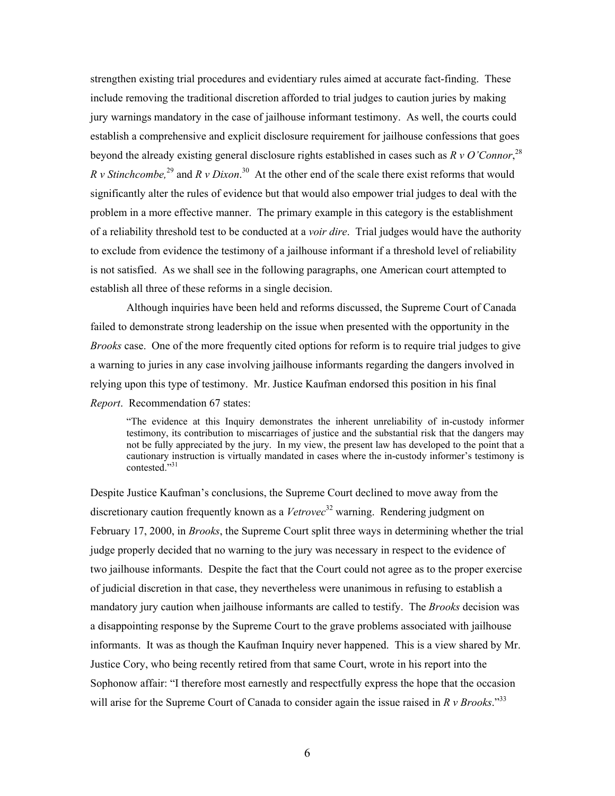strengthen existing trial procedures and evidentiary rules aimed at accurate fact-finding. These include removing the traditional discretion afforded to trial judges to caution juries by making jury warnings mandatory in the case of jailhouse informant testimony. As well, the courts could establish a comprehensive and explicit disclosure requirement for jailhouse confessions that goes beyond the already existing general disclosure rights established in cases such as *R v O'Connor*, 28  $R v$  Stinchcombe,<sup>29</sup> and  $R v$  Dixon.<sup>30</sup> At the other end of the scale there exist reforms that would significantly alter the rules of evidence but that would also empower trial judges to deal with the problem in a more effective manner. The primary example in this category is the establishment of a reliability threshold test to be conducted at a *voir dire*. Trial judges would have the authority to exclude from evidence the testimony of a jailhouse informant if a threshold level of reliability is not satisfied. As we shall see in the following paragraphs, one American court attempted to establish all three of these reforms in a single decision.

Although inquiries have been held and reforms discussed, the Supreme Court of Canada failed to demonstrate strong leadership on the issue when presented with the opportunity in the *Brooks* case. One of the more frequently cited options for reform is to require trial judges to give a warning to juries in any case involving jailhouse informants regarding the dangers involved in relying upon this type of testimony. Mr. Justice Kaufman endorsed this position in his final *Report*. Recommendation 67 states:

"The evidence at this Inquiry demonstrates the inherent unreliability of in-custody informer testimony, its contribution to miscarriages of justice and the substantial risk that the dangers may not be fully appreciated by the jury. In my view, the present law has developed to the point that a cautionary instruction is virtually mandated in cases where the in-custody informer's testimony is contested."31

Despite Justice Kaufman's conclusions, the Supreme Court declined to move away from the discretionary caution frequently known as a *Vetrovec*<sup>32</sup> warning. Rendering judgment on February 17, 2000, in *Brooks*, the Supreme Court split three ways in determining whether the trial judge properly decided that no warning to the jury was necessary in respect to the evidence of two jailhouse informants. Despite the fact that the Court could not agree as to the proper exercise of judicial discretion in that case, they nevertheless were unanimous in refusing to establish a mandatory jury caution when jailhouse informants are called to testify. The *Brooks* decision was a disappointing response by the Supreme Court to the grave problems associated with jailhouse informants. It was as though the Kaufman Inquiry never happened. This is a view shared by Mr. Justice Cory, who being recently retired from that same Court, wrote in his report into the Sophonow affair: "I therefore most earnestly and respectfully express the hope that the occasion will arise for the Supreme Court of Canada to consider again the issue raised in *R v Brooks*."<sup>33</sup>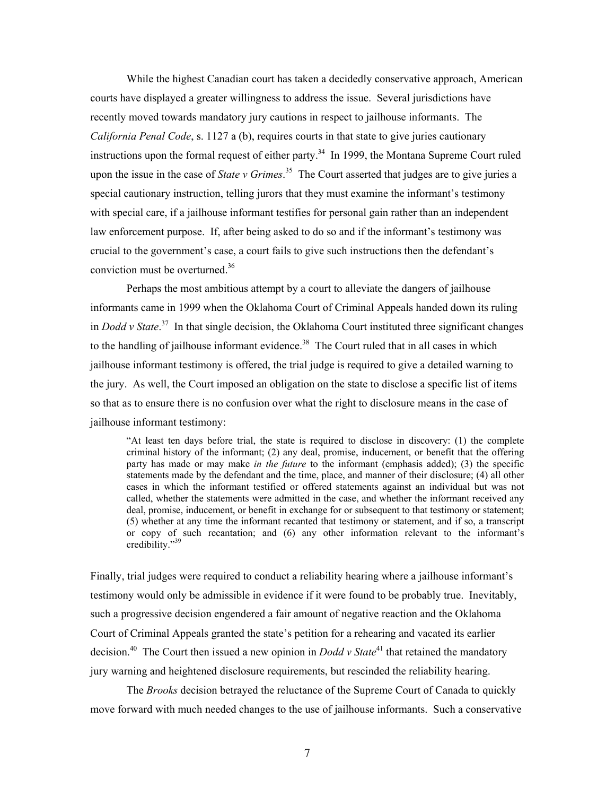While the highest Canadian court has taken a decidedly conservative approach, American courts have displayed a greater willingness to address the issue. Several jurisdictions have recently moved towards mandatory jury cautions in respect to jailhouse informants. The *California Penal Code*, s. 1127 a (b), requires courts in that state to give juries cautionary instructions upon the formal request of either party.<sup>34</sup> In 1999, the Montana Supreme Court ruled upon the issue in the case of *State v Grimes*. 35 The Court asserted that judges are to give juries a special cautionary instruction, telling jurors that they must examine the informant's testimony with special care, if a jailhouse informant testifies for personal gain rather than an independent law enforcement purpose. If, after being asked to do so and if the informant's testimony was crucial to the government's case, a court fails to give such instructions then the defendant's conviction must be overturned.<sup>36</sup>

Perhaps the most ambitious attempt by a court to alleviate the dangers of jailhouse informants came in 1999 when the Oklahoma Court of Criminal Appeals handed down its ruling in *Dodd v State*. 37 In that single decision, the Oklahoma Court instituted three significant changes to the handling of jailhouse informant evidence.<sup>38</sup> The Court ruled that in all cases in which jailhouse informant testimony is offered, the trial judge is required to give a detailed warning to the jury. As well, the Court imposed an obligation on the state to disclose a specific list of items so that as to ensure there is no confusion over what the right to disclosure means in the case of jailhouse informant testimony:

"At least ten days before trial, the state is required to disclose in discovery: (1) the complete criminal history of the informant; (2) any deal, promise, inducement, or benefit that the offering party has made or may make *in the future* to the informant (emphasis added); (3) the specific statements made by the defendant and the time, place, and manner of their disclosure; (4) all other cases in which the informant testified or offered statements against an individual but was not called, whether the statements were admitted in the case, and whether the informant received any deal, promise, inducement, or benefit in exchange for or subsequent to that testimony or statement; (5) whether at any time the informant recanted that testimony or statement, and if so, a transcript or copy of such recantation; and (6) any other information relevant to the informant's credibility."39

Finally, trial judges were required to conduct a reliability hearing where a jailhouse informant's testimony would only be admissible in evidence if it were found to be probably true. Inevitably, such a progressive decision engendered a fair amount of negative reaction and the Oklahoma Court of Criminal Appeals granted the state's petition for a rehearing and vacated its earlier decision.<sup>40</sup> The Court then issued a new opinion in *Dodd v State*<sup>41</sup> that retained the mandatory jury warning and heightened disclosure requirements, but rescinded the reliability hearing.

 The *Brooks* decision betrayed the reluctance of the Supreme Court of Canada to quickly move forward with much needed changes to the use of jailhouse informants. Such a conservative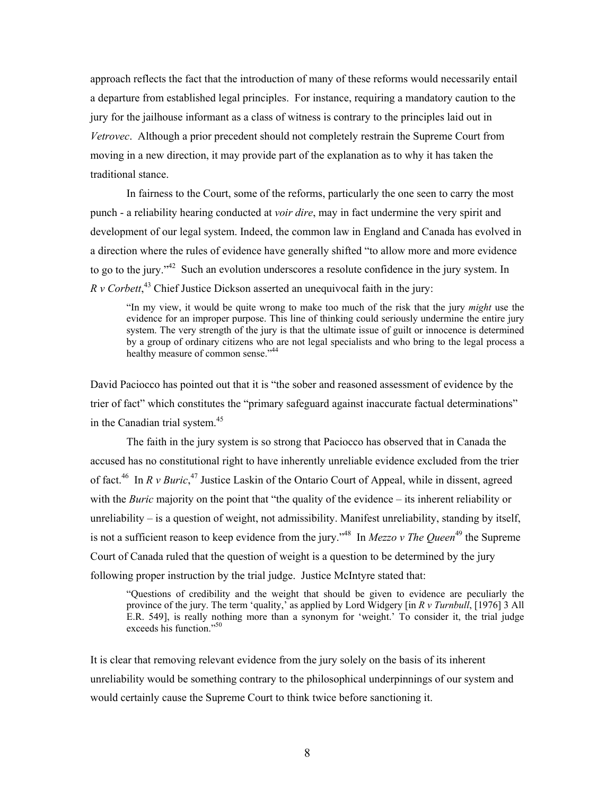approach reflects the fact that the introduction of many of these reforms would necessarily entail a departure from established legal principles. For instance, requiring a mandatory caution to the jury for the jailhouse informant as a class of witness is contrary to the principles laid out in *Vetrovec*. Although a prior precedent should not completely restrain the Supreme Court from moving in a new direction, it may provide part of the explanation as to why it has taken the traditional stance.

In fairness to the Court, some of the reforms, particularly the one seen to carry the most punch - a reliability hearing conducted at *voir dire*, may in fact undermine the very spirit and development of our legal system. Indeed, the common law in England and Canada has evolved in a direction where the rules of evidence have generally shifted "to allow more and more evidence to go to the jury."<sup>42</sup> Such an evolution underscores a resolute confidence in the jury system. In  $R \, v$  Corbett,<sup>43</sup> Chief Justice Dickson asserted an unequivocal faith in the jury:

"In my view, it would be quite wrong to make too much of the risk that the jury *might* use the evidence for an improper purpose. This line of thinking could seriously undermine the entire jury system. The very strength of the jury is that the ultimate issue of guilt or innocence is determined by a group of ordinary citizens who are not legal specialists and who bring to the legal process a healthy measure of common sense."<sup>44</sup>

David Paciocco has pointed out that it is "the sober and reasoned assessment of evidence by the trier of fact" which constitutes the "primary safeguard against inaccurate factual determinations" in the Canadian trial system. 45

The faith in the jury system is so strong that Paciocco has observed that in Canada the accused has no constitutional right to have inherently unreliable evidence excluded from the trier of fact.<sup>46</sup> In *R v Buric*,<sup>47</sup> Justice Laskin of the Ontario Court of Appeal, while in dissent, agreed with the *Buric* majority on the point that "the quality of the evidence – its inherent reliability or unreliability – is a question of weight, not admissibility. Manifest unreliability, standing by itself, is not a sufficient reason to keep evidence from the jury."<sup>48</sup> In *Mezzo v The Queen*<sup>49</sup> the Supreme Court of Canada ruled that the question of weight is a question to be determined by the jury following proper instruction by the trial judge. Justice McIntyre stated that:

"Questions of credibility and the weight that should be given to evidence are peculiarly the province of the jury. The term 'quality,' as applied by Lord Widgery [in *R v Turnbull*, [1976] 3 All E.R. 549], is really nothing more than a synonym for 'weight.' To consider it, the trial judge exceeds his function."<sup>50</sup>

It is clear that removing relevant evidence from the jury solely on the basis of its inherent unreliability would be something contrary to the philosophical underpinnings of our system and would certainly cause the Supreme Court to think twice before sanctioning it.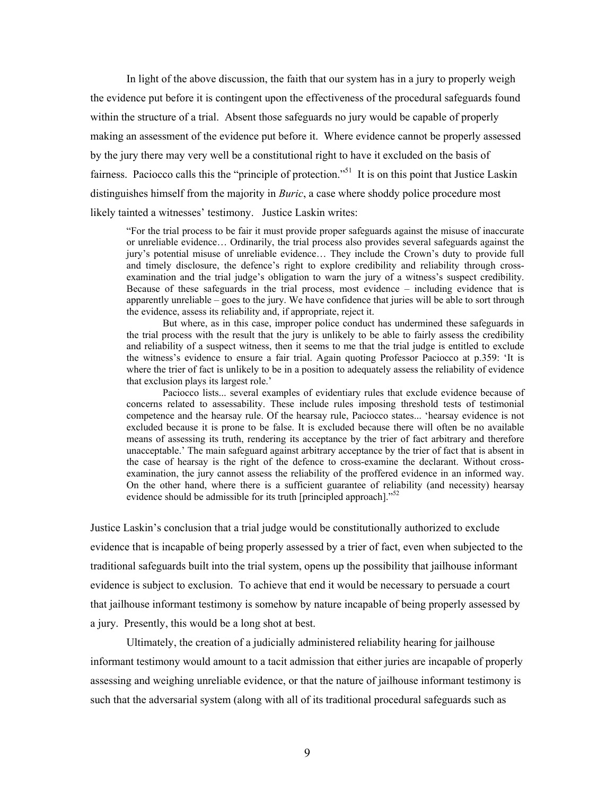In light of the above discussion, the faith that our system has in a jury to properly weigh the evidence put before it is contingent upon the effectiveness of the procedural safeguards found within the structure of a trial. Absent those safeguards no jury would be capable of properly making an assessment of the evidence put before it. Where evidence cannot be properly assessed by the jury there may very well be a constitutional right to have it excluded on the basis of fairness. Paciocco calls this the "principle of protection."<sup>51</sup> It is on this point that Justice Laskin distinguishes himself from the majority in *Buric*, a case where shoddy police procedure most likely tainted a witnesses' testimony. Justice Laskin writes:

"For the trial process to be fair it must provide proper safeguards against the misuse of inaccurate or unreliable evidence… Ordinarily, the trial process also provides several safeguards against the jury's potential misuse of unreliable evidence… They include the Crown's duty to provide full and timely disclosure, the defence's right to explore credibility and reliability through crossexamination and the trial judge's obligation to warn the jury of a witness's suspect credibility. Because of these safeguards in the trial process, most evidence – including evidence that is apparently unreliable – goes to the jury. We have confidence that juries will be able to sort through the evidence, assess its reliability and, if appropriate, reject it.

But where, as in this case, improper police conduct has undermined these safeguards in the trial process with the result that the jury is unlikely to be able to fairly assess the credibility and reliability of a suspect witness, then it seems to me that the trial judge is entitled to exclude the witness's evidence to ensure a fair trial. Again quoting Professor Paciocco at p.359: 'It is where the trier of fact is unlikely to be in a position to adequately assess the reliability of evidence that exclusion plays its largest role.'

Paciocco lists... several examples of evidentiary rules that exclude evidence because of concerns related to assessability. These include rules imposing threshold tests of testimonial competence and the hearsay rule. Of the hearsay rule, Paciocco states... 'hearsay evidence is not excluded because it is prone to be false. It is excluded because there will often be no available means of assessing its truth, rendering its acceptance by the trier of fact arbitrary and therefore unacceptable.' The main safeguard against arbitrary acceptance by the trier of fact that is absent in the case of hearsay is the right of the defence to cross-examine the declarant. Without crossexamination, the jury cannot assess the reliability of the proffered evidence in an informed way. On the other hand, where there is a sufficient guarantee of reliability (and necessity) hearsay evidence should be admissible for its truth [principled approach]."<sup>52</sup>

Justice Laskin's conclusion that a trial judge would be constitutionally authorized to exclude evidence that is incapable of being properly assessed by a trier of fact, even when subjected to the traditional safeguards built into the trial system, opens up the possibility that jailhouse informant evidence is subject to exclusion. To achieve that end it would be necessary to persuade a court that jailhouse informant testimony is somehow by nature incapable of being properly assessed by a jury. Presently, this would be a long shot at best.

Ultimately, the creation of a judicially administered reliability hearing for jailhouse informant testimony would amount to a tacit admission that either juries are incapable of properly assessing and weighing unreliable evidence, or that the nature of jailhouse informant testimony is such that the adversarial system (along with all of its traditional procedural safeguards such as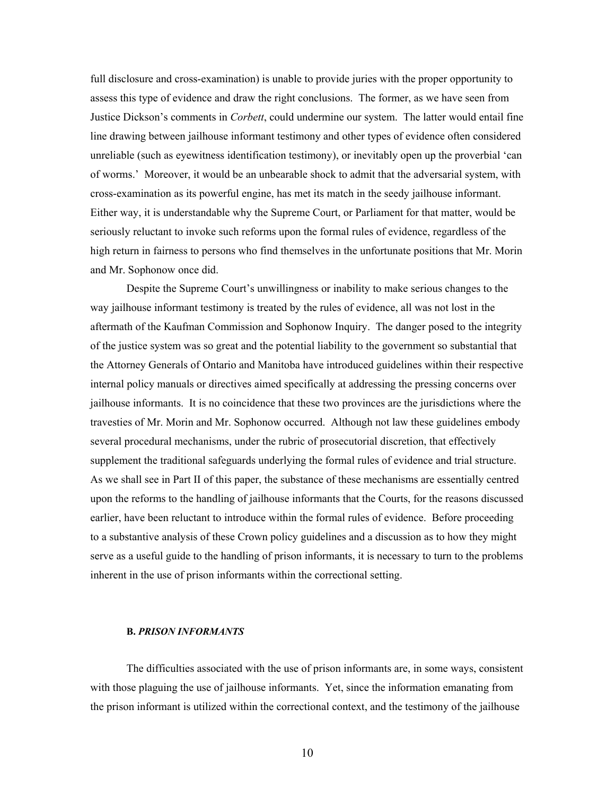full disclosure and cross-examination) is unable to provide juries with the proper opportunity to assess this type of evidence and draw the right conclusions. The former, as we have seen from Justice Dickson's comments in *Corbett*, could undermine our system. The latter would entail fine line drawing between jailhouse informant testimony and other types of evidence often considered unreliable (such as eyewitness identification testimony), or inevitably open up the proverbial 'can of worms.' Moreover, it would be an unbearable shock to admit that the adversarial system, with cross-examination as its powerful engine, has met its match in the seedy jailhouse informant. Either way, it is understandable why the Supreme Court, or Parliament for that matter, would be seriously reluctant to invoke such reforms upon the formal rules of evidence, regardless of the high return in fairness to persons who find themselves in the unfortunate positions that Mr. Morin and Mr. Sophonow once did.

Despite the Supreme Court's unwillingness or inability to make serious changes to the way jailhouse informant testimony is treated by the rules of evidence, all was not lost in the aftermath of the Kaufman Commission and Sophonow Inquiry. The danger posed to the integrity of the justice system was so great and the potential liability to the government so substantial that the Attorney Generals of Ontario and Manitoba have introduced guidelines within their respective internal policy manuals or directives aimed specifically at addressing the pressing concerns over jailhouse informants. It is no coincidence that these two provinces are the jurisdictions where the travesties of Mr. Morin and Mr. Sophonow occurred. Although not law these guidelines embody several procedural mechanisms, under the rubric of prosecutorial discretion, that effectively supplement the traditional safeguards underlying the formal rules of evidence and trial structure. As we shall see in Part II of this paper, the substance of these mechanisms are essentially centred upon the reforms to the handling of jailhouse informants that the Courts, for the reasons discussed earlier, have been reluctant to introduce within the formal rules of evidence. Before proceeding to a substantive analysis of these Crown policy guidelines and a discussion as to how they might serve as a useful guide to the handling of prison informants, it is necessary to turn to the problems inherent in the use of prison informants within the correctional setting.

### **B.** *PRISON INFORMANTS*

The difficulties associated with the use of prison informants are, in some ways, consistent with those plaguing the use of jailhouse informants. Yet, since the information emanating from the prison informant is utilized within the correctional context, and the testimony of the jailhouse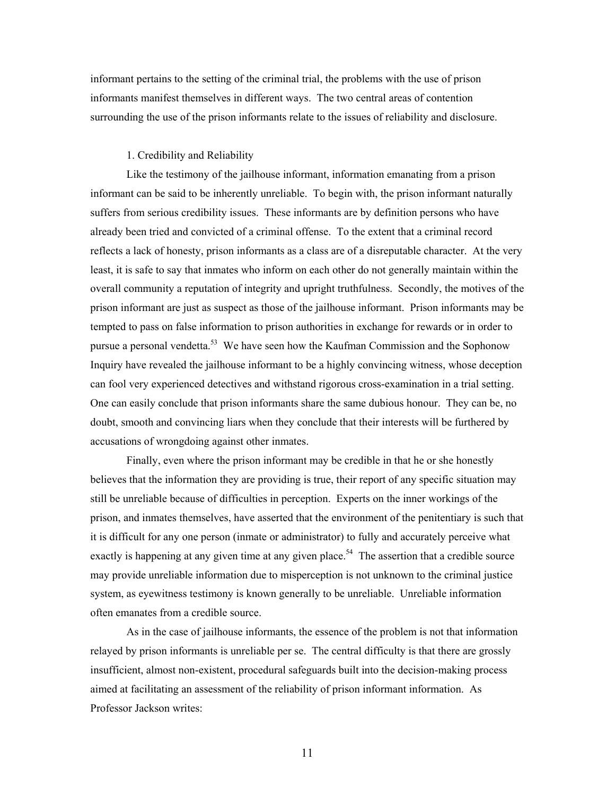informant pertains to the setting of the criminal trial, the problems with the use of prison informants manifest themselves in different ways. The two central areas of contention surrounding the use of the prison informants relate to the issues of reliability and disclosure.

## 1. Credibility and Reliability

Like the testimony of the jailhouse informant, information emanating from a prison informant can be said to be inherently unreliable. To begin with, the prison informant naturally suffers from serious credibility issues. These informants are by definition persons who have already been tried and convicted of a criminal offense. To the extent that a criminal record reflects a lack of honesty, prison informants as a class are of a disreputable character. At the very least, it is safe to say that inmates who inform on each other do not generally maintain within the overall community a reputation of integrity and upright truthfulness. Secondly, the motives of the prison informant are just as suspect as those of the jailhouse informant. Prison informants may be tempted to pass on false information to prison authorities in exchange for rewards or in order to pursue a personal vendetta.<sup>53</sup> We have seen how the Kaufman Commission and the Sophonow Inquiry have revealed the jailhouse informant to be a highly convincing witness, whose deception can fool very experienced detectives and withstand rigorous cross-examination in a trial setting. One can easily conclude that prison informants share the same dubious honour. They can be, no doubt, smooth and convincing liars when they conclude that their interests will be furthered by accusations of wrongdoing against other inmates.

Finally, even where the prison informant may be credible in that he or she honestly believes that the information they are providing is true, their report of any specific situation may still be unreliable because of difficulties in perception. Experts on the inner workings of the prison, and inmates themselves, have asserted that the environment of the penitentiary is such that it is difficult for any one person (inmate or administrator) to fully and accurately perceive what exactly is happening at any given time at any given place.<sup>54</sup> The assertion that a credible source may provide unreliable information due to misperception is not unknown to the criminal justice system, as eyewitness testimony is known generally to be unreliable. Unreliable information often emanates from a credible source.

As in the case of jailhouse informants, the essence of the problem is not that information relayed by prison informants is unreliable per se. The central difficulty is that there are grossly insufficient, almost non-existent, procedural safeguards built into the decision-making process aimed at facilitating an assessment of the reliability of prison informant information. As Professor Jackson writes: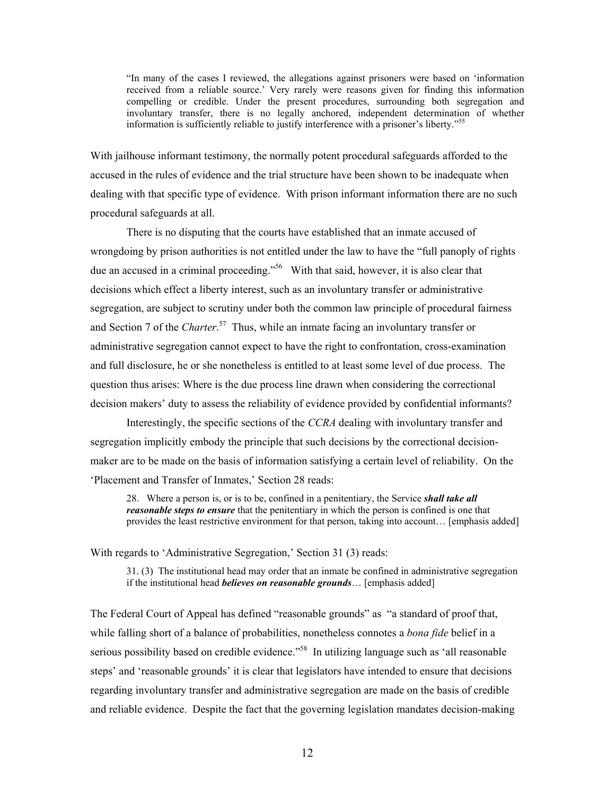"In many of the cases I reviewed, the allegations against prisoners were based on 'information received from a reliable source.' Very rarely were reasons given for finding this information compelling or credible. Under the present procedures, surrounding both segregation and involuntary transfer, there is no legally anchored, independent determination of whether information is sufficiently reliable to justify interference with a prisoner's liberty."<sup>55</sup>

With jailhouse informant testimony, the normally potent procedural safeguards afforded to the accused in the rules of evidence and the trial structure have been shown to be inadequate when dealing with that specific type of evidence. With prison informant information there are no such procedural safeguards at all.

There is no disputing that the courts have established that an inmate accused of wrongdoing by prison authorities is not entitled under the law to have the "full panoply of rights due an accused in a criminal proceeding.<sup>556</sup> With that said, however, it is also clear that decisions which effect a liberty interest, such as an involuntary transfer or administrative segregation, are subject to scrutiny under both the common law principle of procedural fairness and Section 7 of the *Charter*. 57 Thus, while an inmate facing an involuntary transfer or administrative segregation cannot expect to have the right to confrontation, cross-examination and full disclosure, he or she nonetheless is entitled to at least some level of due process. The question thus arises: Where is the due process line drawn when considering the correctional decision makers' duty to assess the reliability of evidence provided by confidential informants?

Interestingly, the specific sections of the *CCRA* dealing with involuntary transfer and segregation implicitly embody the principle that such decisions by the correctional decisionmaker are to be made on the basis of information satisfying a certain level of reliability. On the 'Placement and Transfer of Inmates,' Section 28 reads:

28. Where a person is, or is to be, confined in a penitentiary, the Service *shall take all reasonable steps to ensure* that the penitentiary in which the person is confined is one that provides the least restrictive environment for that person, taking into account… [emphasis added]

With regards to 'Administrative Segregation,' Section 31 (3) reads:

31. (3) The institutional head may order that an inmate be confined in administrative segregation if the institutional head *believes on reasonable grounds*… [emphasis added]

The Federal Court of Appeal has defined "reasonable grounds" as "a standard of proof that, while falling short of a balance of probabilities, nonetheless connotes a *bona fide* belief in a serious possibility based on credible evidence."<sup>58</sup> In utilizing language such as 'all reasonable steps' and 'reasonable grounds' it is clear that legislators have intended to ensure that decisions regarding involuntary transfer and administrative segregation are made on the basis of credible and reliable evidence. Despite the fact that the governing legislation mandates decision-making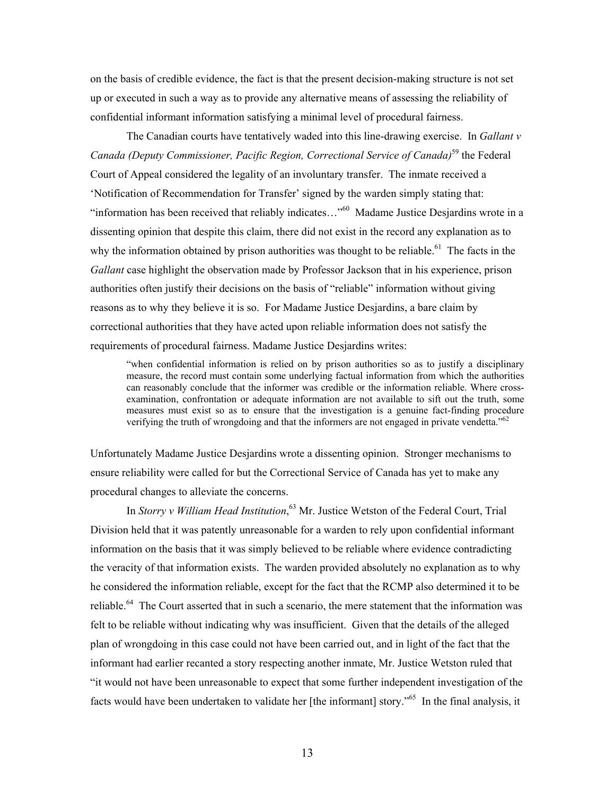on the basis of credible evidence, the fact is that the present decision-making structure is not set up or executed in such a way as to provide any alternative means of assessing the reliability of confidential informant information satisfying a minimal level of procedural fairness.

The Canadian courts have tentatively waded into this line-drawing exercise. In *Gallant v Canada (Deputy Commissioner, Pacific Region, Correctional Service of Canada)*59 the Federal Court of Appeal considered the legality of an involuntary transfer. The inmate received a 'Notification of Recommendation for Transfer' signed by the warden simply stating that: "information has been received that reliably indicates…"60 Madame Justice Desjardins wrote in a dissenting opinion that despite this claim, there did not exist in the record any explanation as to why the information obtained by prison authorities was thought to be reliable.<sup>61</sup> The facts in the *Gallant* case highlight the observation made by Professor Jackson that in his experience, prison authorities often justify their decisions on the basis of "reliable" information without giving reasons as to why they believe it is so. For Madame Justice Desjardins, a bare claim by correctional authorities that they have acted upon reliable information does not satisfy the requirements of procedural fairness. Madame Justice Desjardins writes:

"when confidential information is relied on by prison authorities so as to justify a disciplinary measure, the record must contain some underlying factual information from which the authorities can reasonably conclude that the informer was credible or the information reliable. Where crossexamination, confrontation or adequate information are not available to sift out the truth, some measures must exist so as to ensure that the investigation is a genuine fact-finding procedure verifying the truth of wrongdoing and that the informers are not engaged in private vendetta."<sup>62</sup>

Unfortunately Madame Justice Desjardins wrote a dissenting opinion. Stronger mechanisms to ensure reliability were called for but the Correctional Service of Canada has yet to make any procedural changes to alleviate the concerns.

 In *Storry v William Head Institution*, <sup>63</sup> Mr. Justice Wetston of the Federal Court, Trial Division held that it was patently unreasonable for a warden to rely upon confidential informant information on the basis that it was simply believed to be reliable where evidence contradicting the veracity of that information exists. The warden provided absolutely no explanation as to why he considered the information reliable, except for the fact that the RCMP also determined it to be reliable.<sup>64</sup> The Court asserted that in such a scenario, the mere statement that the information was felt to be reliable without indicating why was insufficient. Given that the details of the alleged plan of wrongdoing in this case could not have been carried out, and in light of the fact that the informant had earlier recanted a story respecting another inmate, Mr. Justice Wetston ruled that "it would not have been unreasonable to expect that some further independent investigation of the facts would have been undertaken to validate her [the informant] story."<sup>65</sup> In the final analysis, it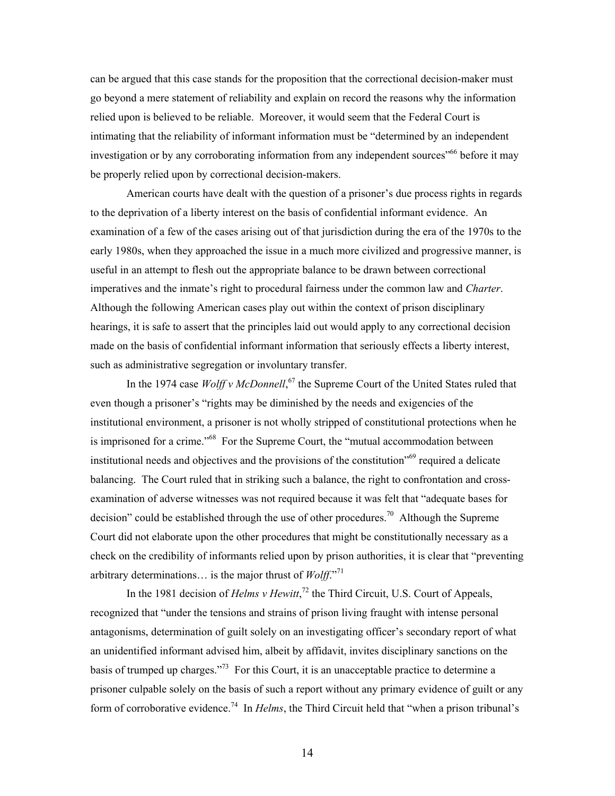can be argued that this case stands for the proposition that the correctional decision-maker must go beyond a mere statement of reliability and explain on record the reasons why the information relied upon is believed to be reliable. Moreover, it would seem that the Federal Court is intimating that the reliability of informant information must be "determined by an independent investigation or by any corroborating information from any independent sources<sup>"66</sup> before it may be properly relied upon by correctional decision-makers.

American courts have dealt with the question of a prisoner's due process rights in regards to the deprivation of a liberty interest on the basis of confidential informant evidence. An examination of a few of the cases arising out of that jurisdiction during the era of the 1970s to the early 1980s, when they approached the issue in a much more civilized and progressive manner, is useful in an attempt to flesh out the appropriate balance to be drawn between correctional imperatives and the inmate's right to procedural fairness under the common law and *Charter*. Although the following American cases play out within the context of prison disciplinary hearings, it is safe to assert that the principles laid out would apply to any correctional decision made on the basis of confidential informant information that seriously effects a liberty interest, such as administrative segregation or involuntary transfer.

In the 1974 case *Wolff v McDonnell*,<sup>67</sup> the Supreme Court of the United States ruled that even though a prisoner's "rights may be diminished by the needs and exigencies of the institutional environment, a prisoner is not wholly stripped of constitutional protections when he is imprisoned for a crime."<sup>68</sup> For the Supreme Court, the "mutual accommodation between institutional needs and objectives and the provisions of the constitution<sup>769</sup> required a delicate balancing. The Court ruled that in striking such a balance, the right to confrontation and crossexamination of adverse witnesses was not required because it was felt that "adequate bases for decision" could be established through the use of other procedures.<sup>70</sup> Although the Supreme Court did not elaborate upon the other procedures that might be constitutionally necessary as a check on the credibility of informants relied upon by prison authorities, it is clear that "preventing arbitrary determinations... is the major thrust of  $Wolff$ .<sup>71</sup>

In the 1981 decision of *Helms v Hewitt*,<sup>72</sup> the Third Circuit, U.S. Court of Appeals, recognized that "under the tensions and strains of prison living fraught with intense personal antagonisms, determination of guilt solely on an investigating officer's secondary report of what an unidentified informant advised him, albeit by affidavit, invites disciplinary sanctions on the basis of trumped up charges."<sup>73</sup> For this Court, it is an unacceptable practice to determine a prisoner culpable solely on the basis of such a report without any primary evidence of guilt or any form of corroborative evidence.<sup>74</sup> In *Helms*, the Third Circuit held that "when a prison tribunal's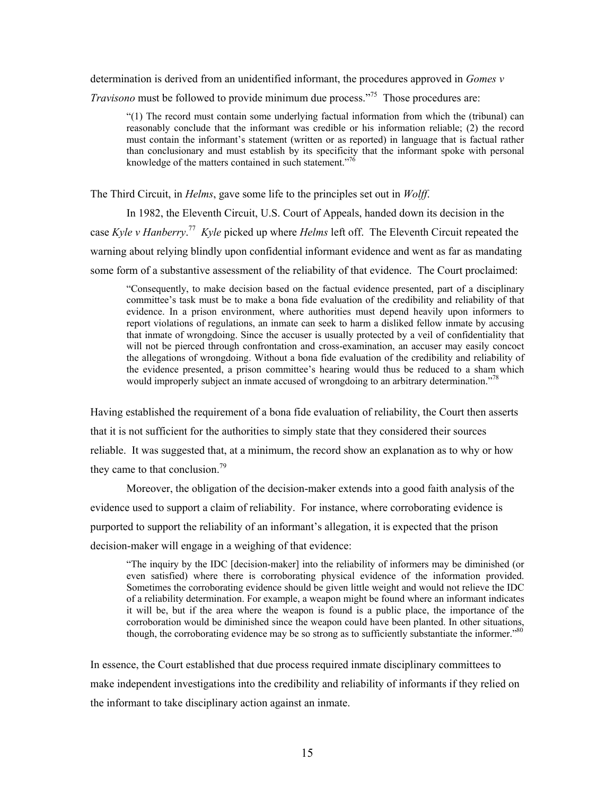determination is derived from an unidentified informant, the procedures approved in *Gomes v Travisono* must be followed to provide minimum due process."<sup>75</sup> Those procedures are:

"(1) The record must contain some underlying factual information from which the (tribunal) can reasonably conclude that the informant was credible or his information reliable; (2) the record must contain the informant's statement (written or as reported) in language that is factual rather than conclusionary and must establish by its specificity that the informant spoke with personal knowledge of the matters contained in such statement."<sup>76</sup>

The Third Circuit, in *Helms*, gave some life to the principles set out in *Wolff*.

In 1982, the Eleventh Circuit, U.S. Court of Appeals, handed down its decision in the case *Kyle v Hanberry.<sup>77</sup> Kyle* picked up where *Helms* left off. The Eleventh Circuit repeated the warning about relying blindly upon confidential informant evidence and went as far as mandating some form of a substantive assessment of the reliability of that evidence. The Court proclaimed:

"Consequently, to make decision based on the factual evidence presented, part of a disciplinary committee's task must be to make a bona fide evaluation of the credibility and reliability of that evidence. In a prison environment, where authorities must depend heavily upon informers to report violations of regulations, an inmate can seek to harm a disliked fellow inmate by accusing that inmate of wrongdoing. Since the accuser is usually protected by a veil of confidentiality that will not be pierced through confrontation and cross-examination, an accuser may easily concoct the allegations of wrongdoing. Without a bona fide evaluation of the credibility and reliability of the evidence presented, a prison committee's hearing would thus be reduced to a sham which would improperly subject an inmate accused of wrongdoing to an arbitrary determination."<sup>78</sup>

Having established the requirement of a bona fide evaluation of reliability, the Court then asserts that it is not sufficient for the authorities to simply state that they considered their sources reliable. It was suggested that, at a minimum, the record show an explanation as to why or how they came to that conclusion.<sup>79</sup>

Moreover, the obligation of the decision-maker extends into a good faith analysis of the evidence used to support a claim of reliability. For instance, where corroborating evidence is purported to support the reliability of an informant's allegation, it is expected that the prison decision-maker will engage in a weighing of that evidence:

"The inquiry by the IDC [decision-maker] into the reliability of informers may be diminished (or even satisfied) where there is corroborating physical evidence of the information provided. Sometimes the corroborating evidence should be given little weight and would not relieve the IDC of a reliability determination. For example, a weapon might be found where an informant indicates it will be, but if the area where the weapon is found is a public place, the importance of the corroboration would be diminished since the weapon could have been planted. In other situations, though, the corroborating evidence may be so strong as to sufficiently substantiate the informer."<sup>80</sup>

In essence, the Court established that due process required inmate disciplinary committees to make independent investigations into the credibility and reliability of informants if they relied on the informant to take disciplinary action against an inmate.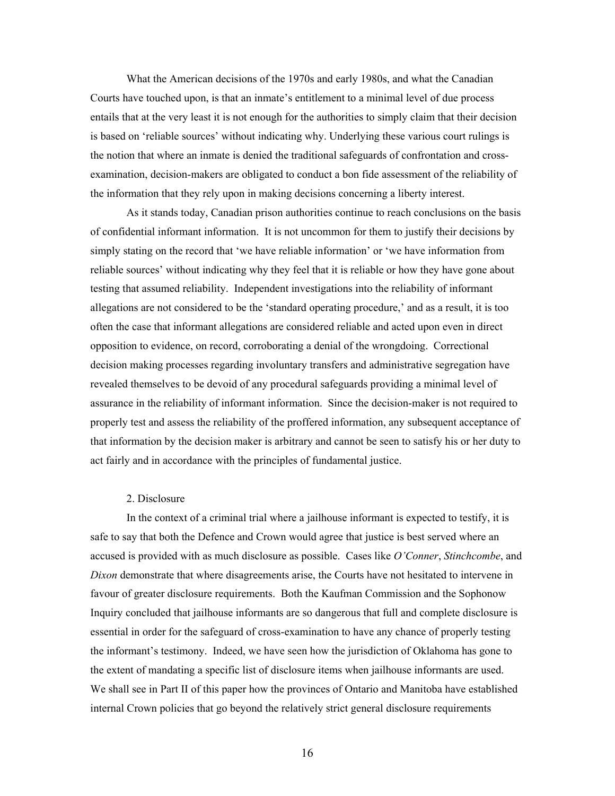What the American decisions of the 1970s and early 1980s, and what the Canadian Courts have touched upon, is that an inmate's entitlement to a minimal level of due process entails that at the very least it is not enough for the authorities to simply claim that their decision is based on 'reliable sources' without indicating why. Underlying these various court rulings is the notion that where an inmate is denied the traditional safeguards of confrontation and crossexamination, decision-makers are obligated to conduct a bon fide assessment of the reliability of the information that they rely upon in making decisions concerning a liberty interest.

As it stands today, Canadian prison authorities continue to reach conclusions on the basis of confidential informant information. It is not uncommon for them to justify their decisions by simply stating on the record that 'we have reliable information' or 'we have information from reliable sources' without indicating why they feel that it is reliable or how they have gone about testing that assumed reliability. Independent investigations into the reliability of informant allegations are not considered to be the 'standard operating procedure,' and as a result, it is too often the case that informant allegations are considered reliable and acted upon even in direct opposition to evidence, on record, corroborating a denial of the wrongdoing. Correctional decision making processes regarding involuntary transfers and administrative segregation have revealed themselves to be devoid of any procedural safeguards providing a minimal level of assurance in the reliability of informant information. Since the decision-maker is not required to properly test and assess the reliability of the proffered information, any subsequent acceptance of that information by the decision maker is arbitrary and cannot be seen to satisfy his or her duty to act fairly and in accordance with the principles of fundamental justice.

# 2. Disclosure

In the context of a criminal trial where a jailhouse informant is expected to testify, it is safe to say that both the Defence and Crown would agree that justice is best served where an accused is provided with as much disclosure as possible. Cases like *O'Conner*, *Stinchcombe*, and *Dixon* demonstrate that where disagreements arise, the Courts have not hesitated to intervene in favour of greater disclosure requirements. Both the Kaufman Commission and the Sophonow Inquiry concluded that jailhouse informants are so dangerous that full and complete disclosure is essential in order for the safeguard of cross-examination to have any chance of properly testing the informant's testimony. Indeed, we have seen how the jurisdiction of Oklahoma has gone to the extent of mandating a specific list of disclosure items when jailhouse informants are used. We shall see in Part II of this paper how the provinces of Ontario and Manitoba have established internal Crown policies that go beyond the relatively strict general disclosure requirements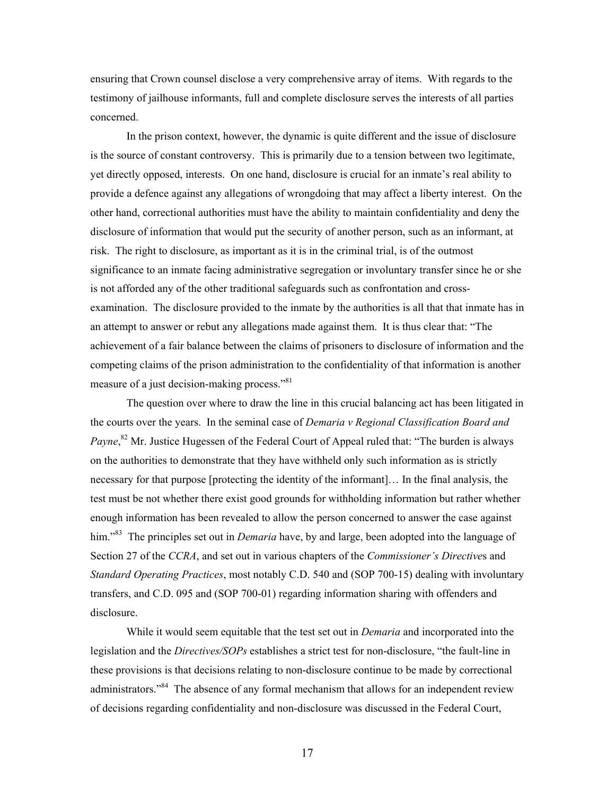ensuring that Crown counsel disclose a very comprehensive array of items. With regards to the testimony of jailhouse informants, full and complete disclosure serves the interests of all parties concerned.

In the prison context, however, the dynamic is quite different and the issue of disclosure is the source of constant controversy. This is primarily due to a tension between two legitimate, yet directly opposed, interests. On one hand, disclosure is crucial for an inmate's real ability to provide a defence against any allegations of wrongdoing that may affect a liberty interest. On the other hand, correctional authorities must have the ability to maintain confidentiality and deny the disclosure of information that would put the security of another person, such as an informant, at risk. The right to disclosure, as important as it is in the criminal trial, is of the outmost significance to an inmate facing administrative segregation or involuntary transfer since he or she is not afforded any of the other traditional safeguards such as confrontation and crossexamination. The disclosure provided to the inmate by the authorities is all that that inmate has in an attempt to answer or rebut any allegations made against them. It is thus clear that: "The achievement of a fair balance between the claims of prisoners to disclosure of information and the competing claims of the prison administration to the confidentiality of that information is another measure of a just decision-making process."<sup>81</sup>

The question over where to draw the line in this crucial balancing act has been litigated in the courts over the years. In the seminal case of *Demaria v Regional Classification Board and Payne*, 82 Mr. Justice Hugessen of the Federal Court of Appeal ruled that: "The burden is always on the authorities to demonstrate that they have withheld only such information as is strictly necessary for that purpose [protecting the identity of the informant]… In the final analysis, the test must be not whether there exist good grounds for withholding information but rather whether enough information has been revealed to allow the person concerned to answer the case against him."<sup>83</sup> The principles set out in *Demaria* have, by and large, been adopted into the language of Section 27 of the *CCRA*, and set out in various chapters of the *Commissioner's Directive*s and *Standard Operating Practices*, most notably C.D. 540 and (SOP 700-15) dealing with involuntary transfers, and C.D. 095 and (SOP 700-01) regarding information sharing with offenders and disclosure.

While it would seem equitable that the test set out in *Demaria* and incorporated into the legislation and the *Directives/SOPs* establishes a strict test for non-disclosure, "the fault-line in these provisions is that decisions relating to non-disclosure continue to be made by correctional administrators."<sup>84</sup> The absence of any formal mechanism that allows for an independent review of decisions regarding confidentiality and non-disclosure was discussed in the Federal Court,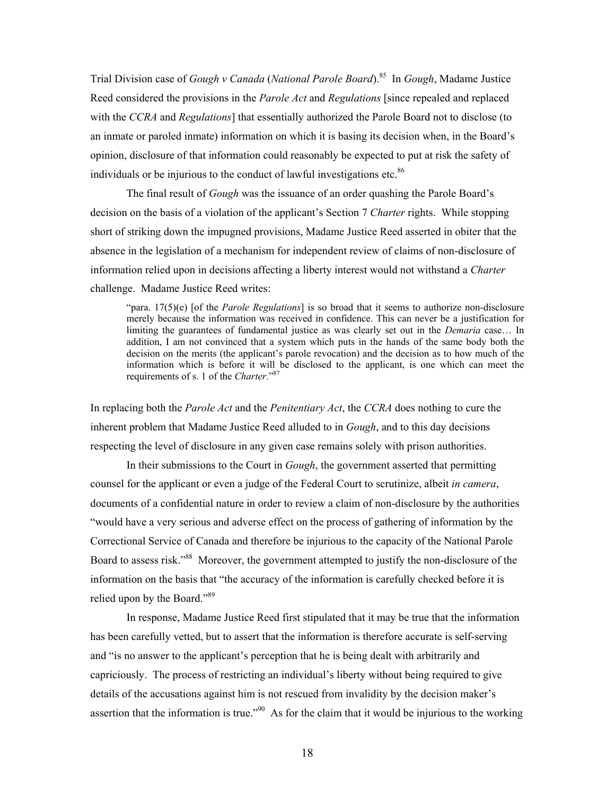Trial Division case of *Gough v Canada* (*National Parole Board*).85 In *Gough*, Madame Justice Reed considered the provisions in the *Parole Act* and *Regulations* [since repealed and replaced with the *CCRA* and *Regulations*] that essentially authorized the Parole Board not to disclose (to an inmate or paroled inmate) information on which it is basing its decision when, in the Board's opinion, disclosure of that information could reasonably be expected to put at risk the safety of individuals or be injurious to the conduct of lawful investigations etc.<sup>86</sup>

The final result of *Gough* was the issuance of an order quashing the Parole Board's decision on the basis of a violation of the applicant's Section 7 *Charter* rights. While stopping short of striking down the impugned provisions, Madame Justice Reed asserted in obiter that the absence in the legislation of a mechanism for independent review of claims of non-disclosure of information relied upon in decisions affecting a liberty interest would not withstand a *Charter* challenge. Madame Justice Reed writes:

"para. 17(5)(e) [of the *Parole Regulations*] is so broad that it seems to authorize non-disclosure merely because the information was received in confidence. This can never be a justification for limiting the guarantees of fundamental justice as was clearly set out in the *Demaria* case… In addition, I am not convinced that a system which puts in the hands of the same body both the decision on the merits (the applicant's parole revocation) and the decision as to how much of the information which is before it will be disclosed to the applicant, is one which can meet the requirements of s. 1 of the *Charter*."87

In replacing both the *Parole Act* and the *Penitentiary Act*, the *CCRA* does nothing to cure the inherent problem that Madame Justice Reed alluded to in *Gough*, and to this day decisions respecting the level of disclosure in any given case remains solely with prison authorities.

In their submissions to the Court in *Gough*, the government asserted that permitting counsel for the applicant or even a judge of the Federal Court to scrutinize, albeit *in camera*, documents of a confidential nature in order to review a claim of non-disclosure by the authorities "would have a very serious and adverse effect on the process of gathering of information by the Correctional Service of Canada and therefore be injurious to the capacity of the National Parole Board to assess risk."<sup>88</sup> Moreover, the government attempted to justify the non-disclosure of the information on the basis that "the accuracy of the information is carefully checked before it is relied upon by the Board."<sup>89</sup>

In response, Madame Justice Reed first stipulated that it may be true that the information has been carefully vetted, but to assert that the information is therefore accurate is self-serving and "is no answer to the applicant's perception that he is being dealt with arbitrarily and capriciously. The process of restricting an individual's liberty without being required to give details of the accusations against him is not rescued from invalidity by the decision maker's assertion that the information is true."<sup>90</sup> As for the claim that it would be injurious to the working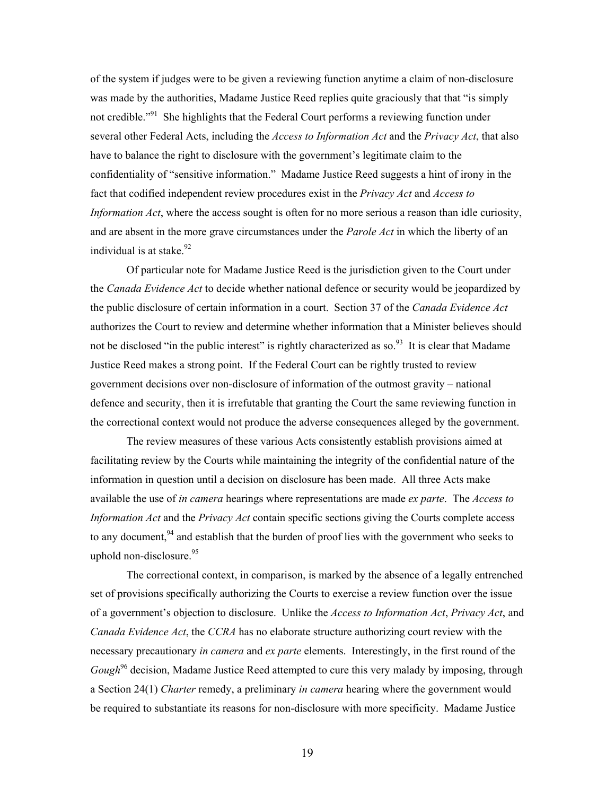of the system if judges were to be given a reviewing function anytime a claim of non-disclosure was made by the authorities, Madame Justice Reed replies quite graciously that that "is simply" not credible.<sup>"91</sup> She highlights that the Federal Court performs a reviewing function under several other Federal Acts, including the *Access to Information Act* and the *Privacy Act*, that also have to balance the right to disclosure with the government's legitimate claim to the confidentiality of "sensitive information." Madame Justice Reed suggests a hint of irony in the fact that codified independent review procedures exist in the *Privacy Act* and *Access to Information Act*, where the access sought is often for no more serious a reason than idle curiosity, and are absent in the more grave circumstances under the *Parole Act* in which the liberty of an individual is at stake. $92$ 

Of particular note for Madame Justice Reed is the jurisdiction given to the Court under the *Canada Evidence Act* to decide whether national defence or security would be jeopardized by the public disclosure of certain information in a court. Section 37 of the *Canada Evidence Act* authorizes the Court to review and determine whether information that a Minister believes should not be disclosed "in the public interest" is rightly characterized as so.  $93$  It is clear that Madame Justice Reed makes a strong point. If the Federal Court can be rightly trusted to review government decisions over non-disclosure of information of the outmost gravity – national defence and security, then it is irrefutable that granting the Court the same reviewing function in the correctional context would not produce the adverse consequences alleged by the government.

The review measures of these various Acts consistently establish provisions aimed at facilitating review by the Courts while maintaining the integrity of the confidential nature of the information in question until a decision on disclosure has been made. All three Acts make available the use of *in camera* hearings where representations are made *ex parte*. The *Access to Information Act* and the *Privacy Act* contain specific sections giving the Courts complete access to any document,<sup>94</sup> and establish that the burden of proof lies with the government who seeks to uphold non-disclosure. $95$ 

The correctional context, in comparison, is marked by the absence of a legally entrenched set of provisions specifically authorizing the Courts to exercise a review function over the issue of a government's objection to disclosure. Unlike the *Access to Information Act*, *Privacy Act*, and *Canada Evidence Act*, the *CCRA* has no elaborate structure authorizing court review with the necessary precautionary *in camera* and *ex parte* elements. Interestingly, in the first round of the *Gough*<sup>96</sup> decision, Madame Justice Reed attempted to cure this very malady by imposing, through a Section 24(1) *Charter* remedy, a preliminary *in camera* hearing where the government would be required to substantiate its reasons for non-disclosure with more specificity. Madame Justice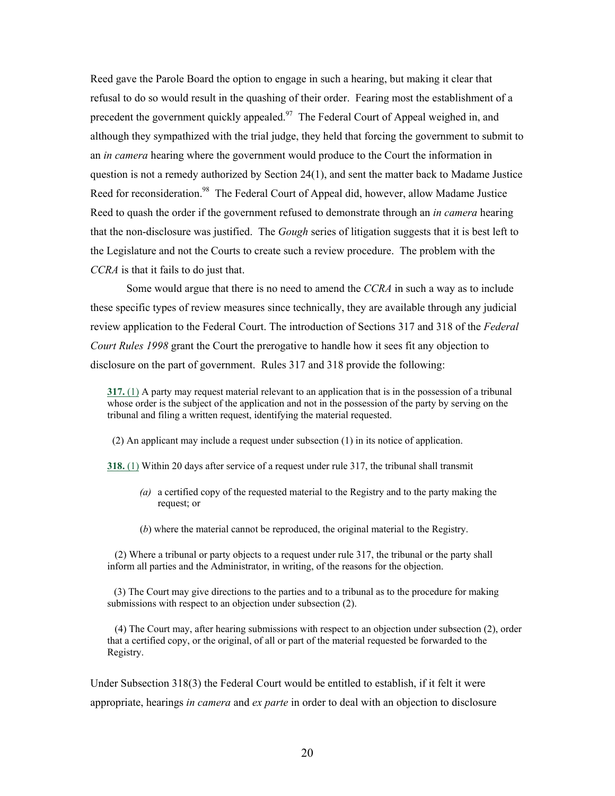Reed gave the Parole Board the option to engage in such a hearing, but making it clear that refusal to do so would result in the quashing of their order. Fearing most the establishment of a precedent the government quickly appealed.<sup>97</sup> The Federal Court of Appeal weighed in, and although they sympathized with the trial judge, they held that forcing the government to submit to an *in camera* hearing where the government would produce to the Court the information in question is not a remedy authorized by Section 24(1), and sent the matter back to Madame Justice Reed for reconsideration.<sup>98</sup> The Federal Court of Appeal did, however, allow Madame Justice Reed to quash the order if the government refused to demonstrate through an *in camera* hearing that the non-disclosure was justified. The *Gough* series of litigation suggests that it is best left to the Legislature and not the Courts to create such a review procedure. The problem with the *CCRA* is that it fails to do just that.

Some would argue that there is no need to amend the *CCRA* in such a way as to include these specific types of review measures since technically, they are available through any judicial review application to the Federal Court. The introduction of Sections 317 and 318 of the *Federal Court Rules 1998* grant the Court the prerogative to handle how it sees fit any objection to disclosure on the part of government. Rules 317 and 318 provide the following:

**[317.](http://laws.justice.gc.ca/fr/autrereg/DORS-98-106/43349.html)** (1) A party may request material relevant to an application that is in the possession of a tribunal whose order is the subject of the application and not in the possession of the party by serving on the tribunal and filing a written request, identifying the material requested.

(2) An applicant may include a request under subsection (1) in its notice of application.

**[318.](http://laws.justice.gc.ca/fr/autrereg/DORS-98-106/43349.html)** (1) Within 20 days after service of a request under rule 317, the tribunal shall transmit

- *(a)* a certified copy of the requested material to the Registry and to the party making the request; or
- (*b*) where the material cannot be reproduced, the original material to the Registry.

 (2) Where a tribunal or party objects to a request under rule 317, the tribunal or the party shall inform all parties and the Administrator, in writing, of the reasons for the objection.

(3) The Court may give directions to the parties and to a tribunal as to the procedure for making submissions with respect to an objection under subsection  $(2)$ .

 (4) The Court may, after hearing submissions with respect to an objection under subsection (2), order that a certified copy, or the original, of all or part of the material requested be forwarded to the Registry.

Under Subsection 318(3) the Federal Court would be entitled to establish, if it felt it were appropriate, hearings *in camera* and *ex parte* in order to deal with an objection to disclosure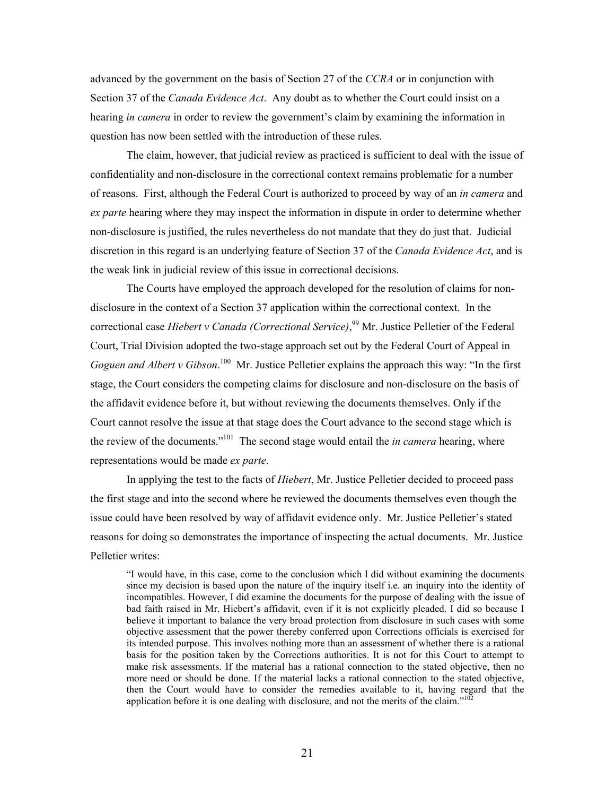advanced by the government on the basis of Section 27 of the *CCRA* or in conjunction with Section 37 of the *Canada Evidence Act*. Any doubt as to whether the Court could insist on a hearing *in camera* in order to review the government's claim by examining the information in question has now been settled with the introduction of these rules.

The claim, however, that judicial review as practiced is sufficient to deal with the issue of confidentiality and non-disclosure in the correctional context remains problematic for a number of reasons. First, although the Federal Court is authorized to proceed by way of an *in camera* and *ex parte* hearing where they may inspect the information in dispute in order to determine whether non-disclosure is justified, the rules nevertheless do not mandate that they do just that. Judicial discretion in this regard is an underlying feature of Section 37 of the *Canada Evidence Act*, and is the weak link in judicial review of this issue in correctional decisions.

The Courts have employed the approach developed for the resolution of claims for nondisclosure in the context of a Section 37 application within the correctional context. In the correctional case *Hiebert v Canada (Correctional Service)*, 99 Mr. Justice Pelletier of the Federal Court, Trial Division adopted the two-stage approach set out by the Federal Court of Appeal in Goguen and Albert v Gibson.<sup>100</sup> Mr. Justice Pelletier explains the approach this way: "In the first stage, the Court considers the competing claims for disclosure and non-disclosure on the basis of the affidavit evidence before it, but without reviewing the documents themselves. Only if the Court cannot resolve the issue at that stage does the Court advance to the second stage which is the review of the documents."101 The second stage would entail the *in camera* hearing, where representations would be made *ex parte*.

In applying the test to the facts of *Hiebert*, Mr. Justice Pelletier decided to proceed pass the first stage and into the second where he reviewed the documents themselves even though the issue could have been resolved by way of affidavit evidence only. Mr. Justice Pelletier's stated reasons for doing so demonstrates the importance of inspecting the actual documents. Mr. Justice Pelletier writes:

"I would have, in this case, come to the conclusion which I did without examining the documents since my decision is based upon the nature of the inquiry itself i.e. an inquiry into the identity of incompatibles. However, I did examine the documents for the purpose of dealing with the issue of bad faith raised in Mr. Hiebert's affidavit, even if it is not explicitly pleaded. I did so because I believe it important to balance the very broad protection from disclosure in such cases with some objective assessment that the power thereby conferred upon Corrections officials is exercised for its intended purpose. This involves nothing more than an assessment of whether there is a rational basis for the position taken by the Corrections authorities. It is not for this Court to attempt to make risk assessments. If the material has a rational connection to the stated objective, then no more need or should be done. If the material lacks a rational connection to the stated objective, then the Court would have to consider the remedies available to it, having regard that the application before it is one dealing with disclosure, and not the merits of the claim." $102$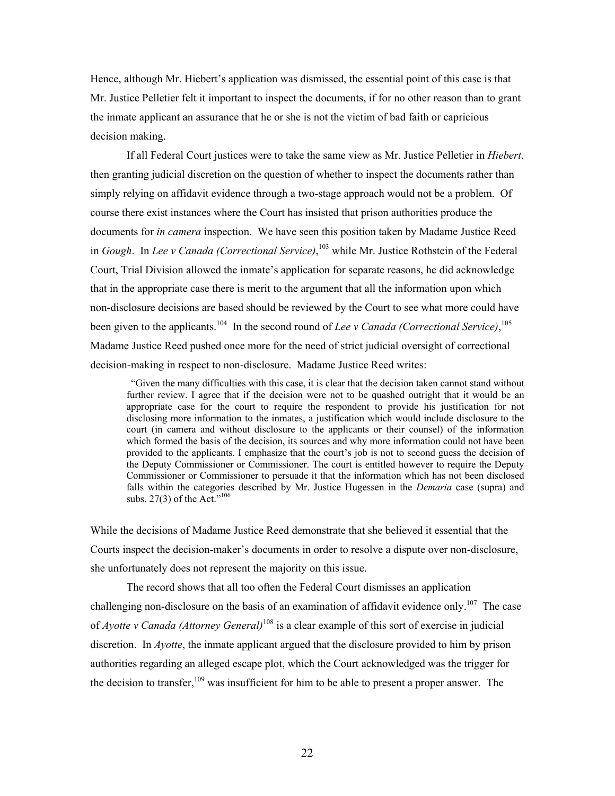Hence, although Mr. Hiebert's application was dismissed, the essential point of this case is that Mr. Justice Pelletier felt it important to inspect the documents, if for no other reason than to grant the inmate applicant an assurance that he or she is not the victim of bad faith or capricious decision making.

If all Federal Court justices were to take the same view as Mr. Justice Pelletier in *Hiebert*, then granting judicial discretion on the question of whether to inspect the documents rather than simply relying on affidavit evidence through a two-stage approach would not be a problem. Of course there exist instances where the Court has insisted that prison authorities produce the documents for *in camera* inspection. We have seen this position taken by Madame Justice Reed in *Gough*. In *Lee v Canada (Correctional Service)*, 103 while Mr. Justice Rothstein of the Federal Court, Trial Division allowed the inmate's application for separate reasons, he did acknowledge that in the appropriate case there is merit to the argument that all the information upon which non-disclosure decisions are based should be reviewed by the Court to see what more could have been given to the applicants.<sup>104</sup> In the second round of *Lee v Canada (Correctional Service)*,<sup>105</sup> Madame Justice Reed pushed once more for the need of strict judicial oversight of correctional decision-making in respect to non-disclosure. Madame Justice Reed writes:

"Given the many difficulties with this case, it is clear that the decision taken cannot stand without further review. I agree that if the decision were not to be quashed outright that it would be an appropriate case for the court to require the respondent to provide his justification for not disclosing more information to the inmates, a justification which would include disclosure to the court (in camera and without disclosure to the applicants or their counsel) of the information which formed the basis of the decision, its sources and why more information could not have been provided to the applicants. I emphasize that the court's job is not to second guess the decision of the Deputy Commissioner or Commissioner. The court is entitled however to require the Deputy Commissioner or Commissioner to persuade it that the information which has not been disclosed falls within the categories described by Mr. Justice Hugessen in the *Demaria* case (supra) and subs. 27(3) of the Act."<sup>106</sup>

While the decisions of Madame Justice Reed demonstrate that she believed it essential that the Courts inspect the decision-maker's documents in order to resolve a dispute over non-disclosure, she unfortunately does not represent the majority on this issue.

The record shows that all too often the Federal Court dismisses an application challenging non-disclosure on the basis of an examination of affidavit evidence only.<sup>107</sup> The case of *Ayotte v Canada (Attorney General)*108 is a clear example of this sort of exercise in judicial discretion. In *Ayotte*, the inmate applicant argued that the disclosure provided to him by prison authorities regarding an alleged escape plot, which the Court acknowledged was the trigger for the decision to transfer,  $109$  was insufficient for him to be able to present a proper answer. The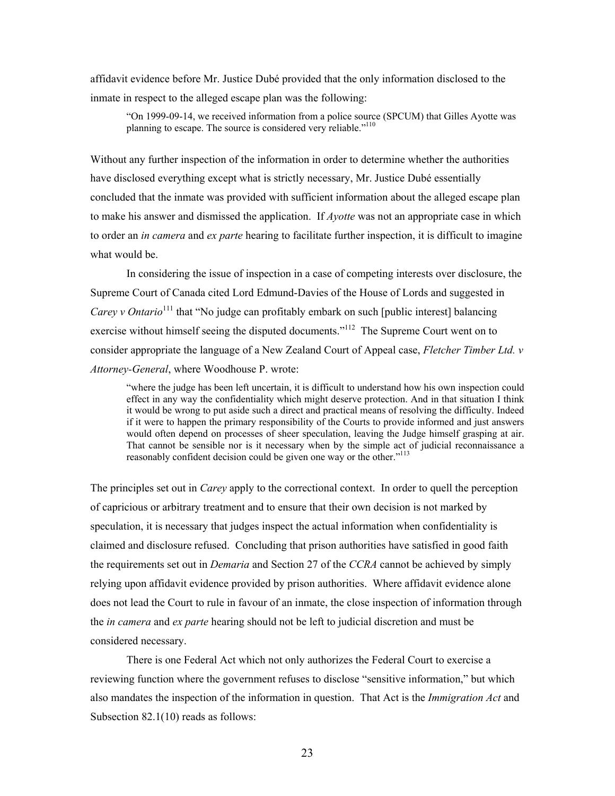affidavit evidence before Mr. Justice Dubé provided that the only information disclosed to the inmate in respect to the alleged escape plan was the following:

"On 1999-09-14, we received information from a police source (SPCUM) that Gilles Ayotte was planning to escape. The source is considered very reliable."<sup>110</sup>

Without any further inspection of the information in order to determine whether the authorities have disclosed everything except what is strictly necessary, Mr. Justice Dubé essentially concluded that the inmate was provided with sufficient information about the alleged escape plan to make his answer and dismissed the application. If *Ayotte* was not an appropriate case in which to order an *in camera* and *ex parte* hearing to facilitate further inspection, it is difficult to imagine what would be.

In considering the issue of inspection in a case of competing interests over disclosure, the Supreme Court of Canada cited Lord Edmund-Davies of the House of Lords and suggested in *Carey v Ontario*<sup>111</sup> that "No judge can profitably embark on such [public interest] balancing exercise without himself seeing the disputed documents."<sup>112</sup> The Supreme Court went on to consider appropriate the language of a New Zealand Court of Appeal case, *Fletcher Timber Ltd. v Attorney-General*, where Woodhouse P. wrote:

"where the judge has been left uncertain, it is difficult to understand how his own inspection could effect in any way the confidentiality which might deserve protection. And in that situation I think it would be wrong to put aside such a direct and practical means of resolving the difficulty. Indeed if it were to happen the primary responsibility of the Courts to provide informed and just answers would often depend on processes of sheer speculation, leaving the Judge himself grasping at air. That cannot be sensible nor is it necessary when by the simple act of judicial reconnaissance a reasonably confident decision could be given one way or the other."<sup>113</sup>

The principles set out in *Carey* apply to the correctional context. In order to quell the perception of capricious or arbitrary treatment and to ensure that their own decision is not marked by speculation, it is necessary that judges inspect the actual information when confidentiality is claimed and disclosure refused. Concluding that prison authorities have satisfied in good faith the requirements set out in *Demaria* and Section 27 of the *CCRA* cannot be achieved by simply relying upon affidavit evidence provided by prison authorities. Where affidavit evidence alone does not lead the Court to rule in favour of an inmate, the close inspection of information through the *in camera* and *ex parte* hearing should not be left to judicial discretion and must be considered necessary.

There is one Federal Act which not only authorizes the Federal Court to exercise a reviewing function where the government refuses to disclose "sensitive information," but which also mandates the inspection of the information in question. That Act is the *Immigration Act* and Subsection 82.1(10) reads as follows: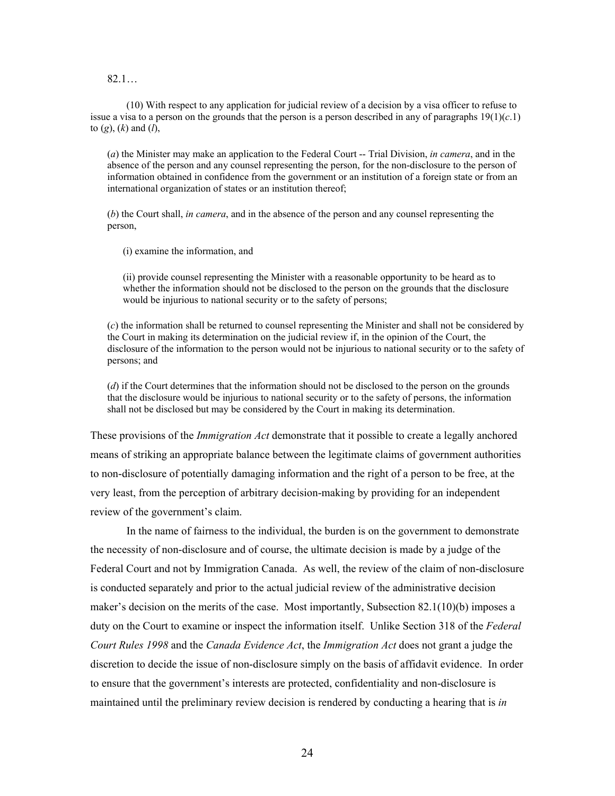$82.1...$ 

(10) With respect to any application for judicial review of a decision by a visa officer to refuse to issue a visa to a person on the grounds that the person is a person described in any of paragraphs  $19(1)(c.1)$ to (*g*), (*k*) and (*l*),

(*a*) the Minister may make an application to the Federal Court -- Trial Division, *in camera*, and in the absence of the person and any counsel representing the person, for the non-disclosure to the person of information obtained in confidence from the government or an institution of a foreign state or from an international organization of states or an institution thereof;

(*b*) the Court shall, *in camera*, and in the absence of the person and any counsel representing the person,

(i) examine the information, and

(ii) provide counsel representing the Minister with a reasonable opportunity to be heard as to whether the information should not be disclosed to the person on the grounds that the disclosure would be injurious to national security or to the safety of persons;

(*c*) the information shall be returned to counsel representing the Minister and shall not be considered by the Court in making its determination on the judicial review if, in the opinion of the Court, the disclosure of the information to the person would not be injurious to national security or to the safety of persons; and

(*d*) if the Court determines that the information should not be disclosed to the person on the grounds that the disclosure would be injurious to national security or to the safety of persons, the information shall not be disclosed but may be considered by the Court in making its determination.

These provisions of the *Immigration Act* demonstrate that it possible to create a legally anchored means of striking an appropriate balance between the legitimate claims of government authorities to non-disclosure of potentially damaging information and the right of a person to be free, at the very least, from the perception of arbitrary decision-making by providing for an independent review of the government's claim.

In the name of fairness to the individual, the burden is on the government to demonstrate the necessity of non-disclosure and of course, the ultimate decision is made by a judge of the Federal Court and not by Immigration Canada. As well, the review of the claim of non-disclosure is conducted separately and prior to the actual judicial review of the administrative decision maker's decision on the merits of the case. Most importantly, Subsection 82.1(10)(b) imposes a duty on the Court to examine or inspect the information itself. Unlike Section 318 of the *Federal Court Rules 1998* and the *Canada Evidence Act*, the *Immigration Act* does not grant a judge the discretion to decide the issue of non-disclosure simply on the basis of affidavit evidence. In order to ensure that the government's interests are protected, confidentiality and non-disclosure is maintained until the preliminary review decision is rendered by conducting a hearing that is *in*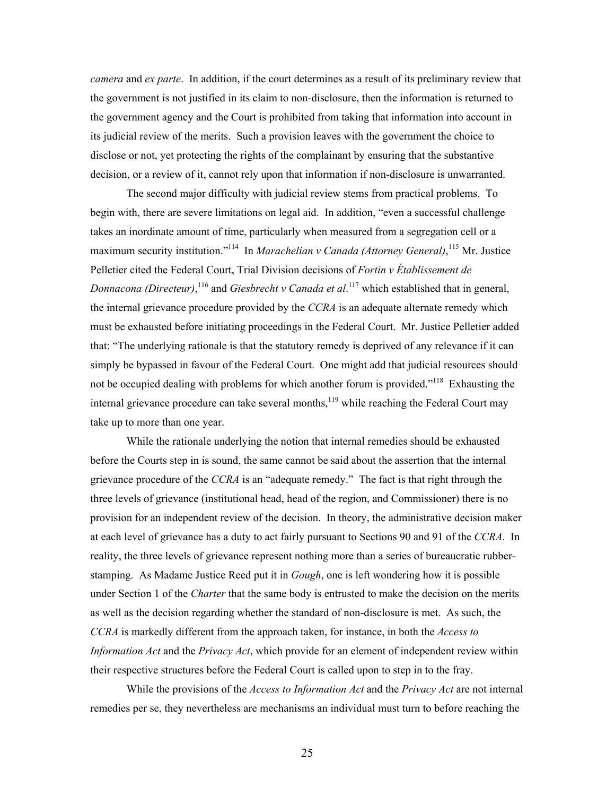*camera* and *ex parte*. In addition, if the court determines as a result of its preliminary review that the government is not justified in its claim to non-disclosure, then the information is returned to the government agency and the Court is prohibited from taking that information into account in its judicial review of the merits. Such a provision leaves with the government the choice to disclose or not, yet protecting the rights of the complainant by ensuring that the substantive decision, or a review of it, cannot rely upon that information if non-disclosure is unwarranted.

The second major difficulty with judicial review stems from practical problems. To begin with, there are severe limitations on legal aid. In addition, "even a successful challenge takes an inordinate amount of time, particularly when measured from a segregation cell or a maximum security institution."<sup>114</sup> In *Marachelian v Canada (Attorney General)*, <sup>115</sup> Mr. Justice Pelletier cited the Federal Court, Trial Division decisions of *Fortin v Établissement de*  Donnacona (Directeur),<sup>116</sup> and *Giesbrecht v Canada et al*.<sup>117</sup> which established that in general, the internal grievance procedure provided by the *CCRA* is an adequate alternate remedy which must be exhausted before initiating proceedings in the Federal Court. Mr. Justice Pelletier added that: "The underlying rationale is that the statutory remedy is deprived of any relevance if it can simply be bypassed in favour of the Federal Court. One might add that judicial resources should not be occupied dealing with problems for which another forum is provided."<sup>118</sup> Exhausting the internal grievance procedure can take several months,<sup>119</sup> while reaching the Federal Court may take up to more than one year.

While the rationale underlying the notion that internal remedies should be exhausted before the Courts step in is sound, the same cannot be said about the assertion that the internal grievance procedure of the *CCRA* is an "adequate remedy." The fact is that right through the three levels of grievance (institutional head, head of the region, and Commissioner) there is no provision for an independent review of the decision. In theory, the administrative decision maker at each level of grievance has a duty to act fairly pursuant to Sections 90 and 91 of the *CCRA*. In reality, the three levels of grievance represent nothing more than a series of bureaucratic rubberstamping. As Madame Justice Reed put it in *Gough*, one is left wondering how it is possible under Section 1 of the *Charter* that the same body is entrusted to make the decision on the merits as well as the decision regarding whether the standard of non-disclosure is met. As such, the *CCRA* is markedly different from the approach taken, for instance, in both the *Access to Information Act* and the *Privacy Act*, which provide for an element of independent review within their respective structures before the Federal Court is called upon to step in to the fray.

While the provisions of the *Access to Information Act* and the *Privacy Act* are not internal remedies per se, they nevertheless are mechanisms an individual must turn to before reaching the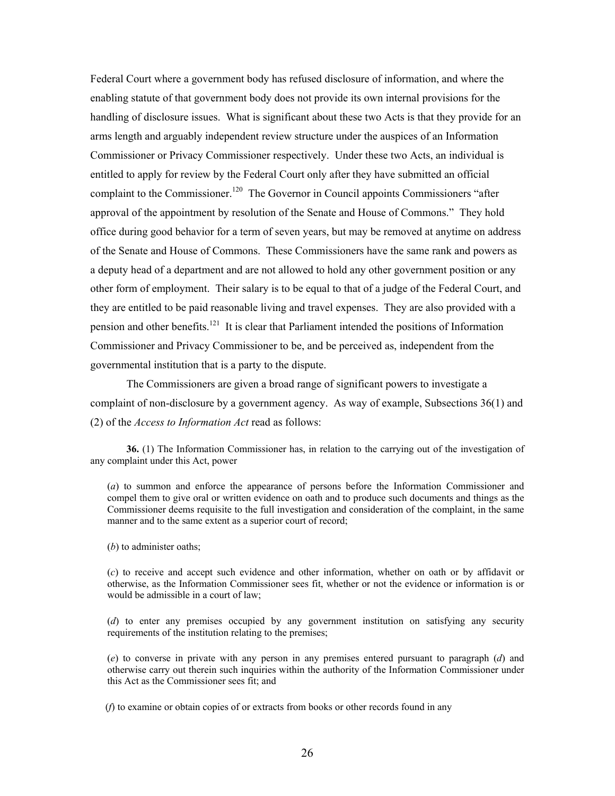Federal Court where a government body has refused disclosure of information, and where the enabling statute of that government body does not provide its own internal provisions for the handling of disclosure issues. What is significant about these two Acts is that they provide for an arms length and arguably independent review structure under the auspices of an Information Commissioner or Privacy Commissioner respectively. Under these two Acts, an individual is entitled to apply for review by the Federal Court only after they have submitted an official complaint to the Commissioner.<sup>120</sup> The Governor in Council appoints Commissioners "after approval of the appointment by resolution of the Senate and House of Commons." They hold office during good behavior for a term of seven years, but may be removed at anytime on address of the Senate and House of Commons. These Commissioners have the same rank and powers as a deputy head of a department and are not allowed to hold any other government position or any other form of employment. Their salary is to be equal to that of a judge of the Federal Court, and they are entitled to be paid reasonable living and travel expenses. They are also provided with a pension and other benefits.<sup>121</sup> It is clear that Parliament intended the positions of Information Commissioner and Privacy Commissioner to be, and be perceived as, independent from the governmental institution that is a party to the dispute.

The Commissioners are given a broad range of significant powers to investigate a complaint of non-disclosure by a government agency. As way of example, Subsections 36(1) and (2) of the *Access to Information Act* read as follows:

**36.** (1) The Information Commissioner has, in relation to the carrying out of the investigation of any complaint under this Act, power

(*a*) to summon and enforce the appearance of persons before the Information Commissioner and compel them to give oral or written evidence on oath and to produce such documents and things as the Commissioner deems requisite to the full investigation and consideration of the complaint, in the same manner and to the same extent as a superior court of record;

(*b*) to administer oaths;

(*c*) to receive and accept such evidence and other information, whether on oath or by affidavit or otherwise, as the Information Commissioner sees fit, whether or not the evidence or information is or would be admissible in a court of law;

(*d*) to enter any premises occupied by any government institution on satisfying any security requirements of the institution relating to the premises;

(*e*) to converse in private with any person in any premises entered pursuant to paragraph (*d*) and otherwise carry out therein such inquiries within the authority of the Information Commissioner under this Act as the Commissioner sees fit; and

(*f*) to examine or obtain copies of or extracts from books or other records found in any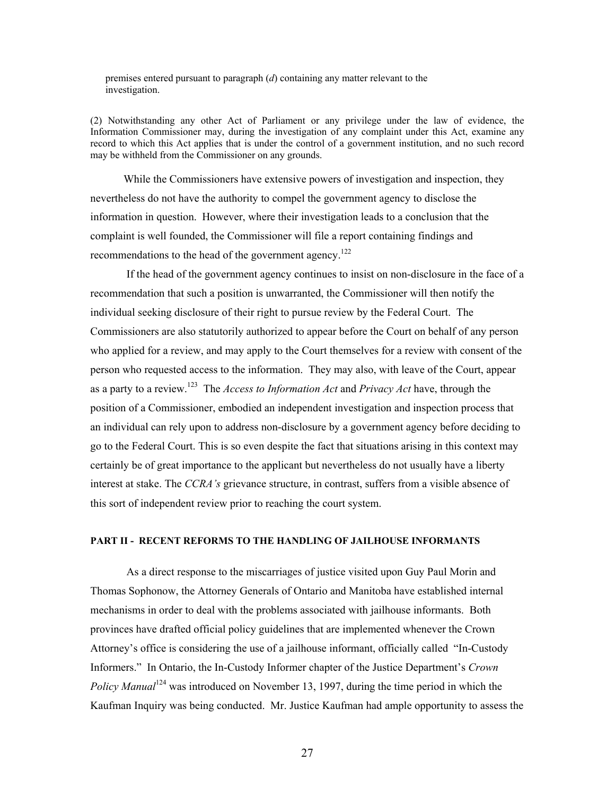premises entered pursuant to paragraph (*d*) containing any matter relevant to the investigation.

(2) Notwithstanding any other Act of Parliament or any privilege under the law of evidence, the Information Commissioner may, during the investigation of any complaint under this Act, examine any record to which this Act applies that is under the control of a government institution, and no such record may be withheld from the Commissioner on any grounds.

 While the Commissioners have extensive powers of investigation and inspection, they nevertheless do not have the authority to compel the government agency to disclose the information in question. However, where their investigation leads to a conclusion that the complaint is well founded, the Commissioner will file a report containing findings and recommendations to the head of the government agency.<sup>122</sup>

If the head of the government agency continues to insist on non-disclosure in the face of a recommendation that such a position is unwarranted, the Commissioner will then notify the individual seeking disclosure of their right to pursue review by the Federal Court. The Commissioners are also statutorily authorized to appear before the Court on behalf of any person who applied for a review, and may apply to the Court themselves for a review with consent of the person who requested access to the information. They may also, with leave of the Court, appear as a party to a review.<sup>123</sup> The *Access to Information Act* and *Privacy Act* have, through the position of a Commissioner, embodied an independent investigation and inspection process that an individual can rely upon to address non-disclosure by a government agency before deciding to go to the Federal Court. This is so even despite the fact that situations arising in this context may certainly be of great importance to the applicant but nevertheless do not usually have a liberty interest at stake. The *CCRA's* grievance structure, in contrast, suffers from a visible absence of this sort of independent review prior to reaching the court system.

#### **PART II - RECENT REFORMS TO THE HANDLING OF JAILHOUSE INFORMANTS**

As a direct response to the miscarriages of justice visited upon Guy Paul Morin and Thomas Sophonow, the Attorney Generals of Ontario and Manitoba have established internal mechanisms in order to deal with the problems associated with jailhouse informants. Both provinces have drafted official policy guidelines that are implemented whenever the Crown Attorney's office is considering the use of a jailhouse informant, officially called "In-Custody Informers." In Ontario, the In-Custody Informer chapter of the Justice Department's *Crown*  Policy Manual<sup>124</sup> was introduced on November 13, 1997, during the time period in which the Kaufman Inquiry was being conducted. Mr. Justice Kaufman had ample opportunity to assess the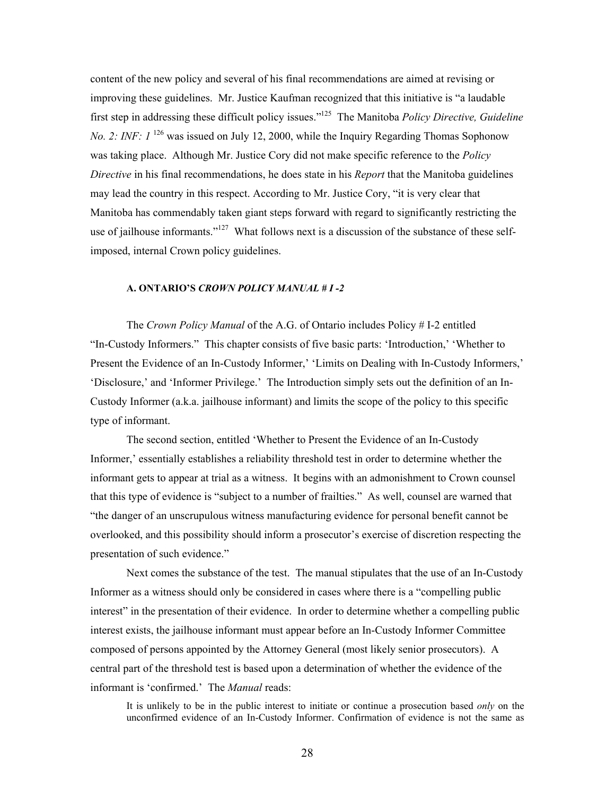content of the new policy and several of his final recommendations are aimed at revising or improving these guidelines. Mr. Justice Kaufman recognized that this initiative is "a laudable first step in addressing these difficult policy issues."125 The Manitoba *Policy Directive, Guideline No. 2: INF: 1*<sup>126</sup> was issued on July 12, 2000, while the Inquiry Regarding Thomas Sophonow was taking place. Although Mr. Justice Cory did not make specific reference to the *Policy Directive* in his final recommendations, he does state in his *Report* that the Manitoba guidelines may lead the country in this respect. According to Mr. Justice Cory, "it is very clear that Manitoba has commendably taken giant steps forward with regard to significantly restricting the use of jailhouse informants."<sup>127</sup> What follows next is a discussion of the substance of these selfimposed, internal Crown policy guidelines.

# **A. ONTARIO'S** *CROWN POLICY MANUAL # I -2*

The *Crown Policy Manual* of the A.G. of Ontario includes Policy # I-2 entitled "In-Custody Informers." This chapter consists of five basic parts: 'Introduction,' 'Whether to Present the Evidence of an In-Custody Informer,' 'Limits on Dealing with In-Custody Informers,' 'Disclosure,' and 'Informer Privilege.' The Introduction simply sets out the definition of an In-Custody Informer (a.k.a. jailhouse informant) and limits the scope of the policy to this specific type of informant.

The second section, entitled 'Whether to Present the Evidence of an In-Custody Informer,' essentially establishes a reliability threshold test in order to determine whether the informant gets to appear at trial as a witness. It begins with an admonishment to Crown counsel that this type of evidence is "subject to a number of frailties." As well, counsel are warned that "the danger of an unscrupulous witness manufacturing evidence for personal benefit cannot be overlooked, and this possibility should inform a prosecutor's exercise of discretion respecting the presentation of such evidence."

Next comes the substance of the test. The manual stipulates that the use of an In-Custody Informer as a witness should only be considered in cases where there is a "compelling public interest" in the presentation of their evidence. In order to determine whether a compelling public interest exists, the jailhouse informant must appear before an In-Custody Informer Committee composed of persons appointed by the Attorney General (most likely senior prosecutors). A central part of the threshold test is based upon a determination of whether the evidence of the informant is 'confirmed.' The *Manual* reads:

It is unlikely to be in the public interest to initiate or continue a prosecution based *only* on the unconfirmed evidence of an In-Custody Informer. Confirmation of evidence is not the same as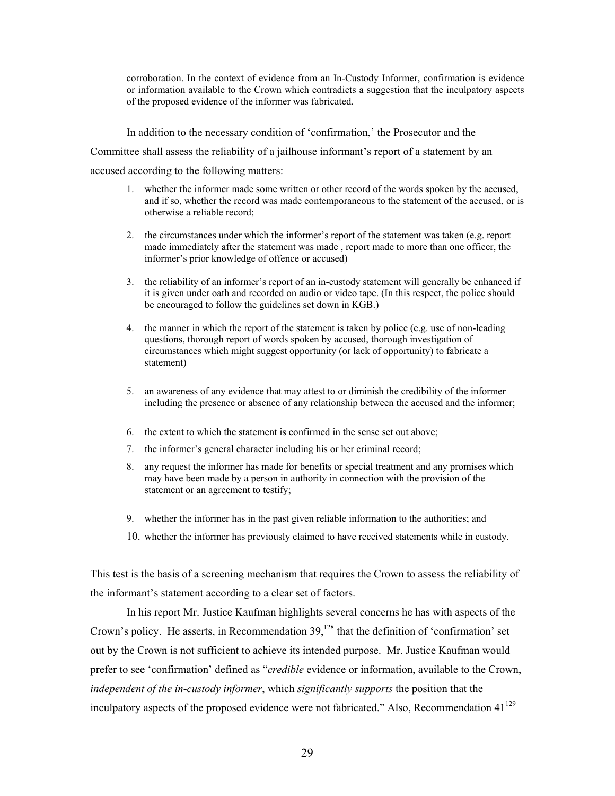corroboration. In the context of evidence from an In-Custody Informer, confirmation is evidence or information available to the Crown which contradicts a suggestion that the inculpatory aspects of the proposed evidence of the informer was fabricated.

In addition to the necessary condition of 'confirmation,' the Prosecutor and the Committee shall assess the reliability of a jailhouse informant's report of a statement by an accused according to the following matters:

- 1. whether the informer made some written or other record of the words spoken by the accused, and if so, whether the record was made contemporaneous to the statement of the accused, or is otherwise a reliable record;
- 2. the circumstances under which the informer's report of the statement was taken (e.g. report made immediately after the statement was made , report made to more than one officer, the informer's prior knowledge of offence or accused)
- 3. the reliability of an informer's report of an in-custody statement will generally be enhanced if it is given under oath and recorded on audio or video tape. (In this respect, the police should be encouraged to follow the guidelines set down in KGB.)
- 4. the manner in which the report of the statement is taken by police (e.g. use of non-leading questions, thorough report of words spoken by accused, thorough investigation of circumstances which might suggest opportunity (or lack of opportunity) to fabricate a statement)
- 5. an awareness of any evidence that may attest to or diminish the credibility of the informer including the presence or absence of any relationship between the accused and the informer;
- 6. the extent to which the statement is confirmed in the sense set out above;
- 7. the informer's general character including his or her criminal record;
- 8. any request the informer has made for benefits or special treatment and any promises which may have been made by a person in authority in connection with the provision of the statement or an agreement to testify;
- 9. whether the informer has in the past given reliable information to the authorities; and
- 10. whether the informer has previously claimed to have received statements while in custody.

This test is the basis of a screening mechanism that requires the Crown to assess the reliability of the informant's statement according to a clear set of factors.

In his report Mr. Justice Kaufman highlights several concerns he has with aspects of the Crown's policy. He asserts, in Recommendation  $39<sub>1</sub><sup>128</sup>$  that the definition of 'confirmation' set out by the Crown is not sufficient to achieve its intended purpose. Mr. Justice Kaufman would prefer to see 'confirmation' defined as "*credible* evidence or information, available to the Crown, *independent of the in-custody informer*, which *significantly supports* the position that the inculpatory aspects of the proposed evidence were not fabricated." Also, Recommendation  $41^{129}$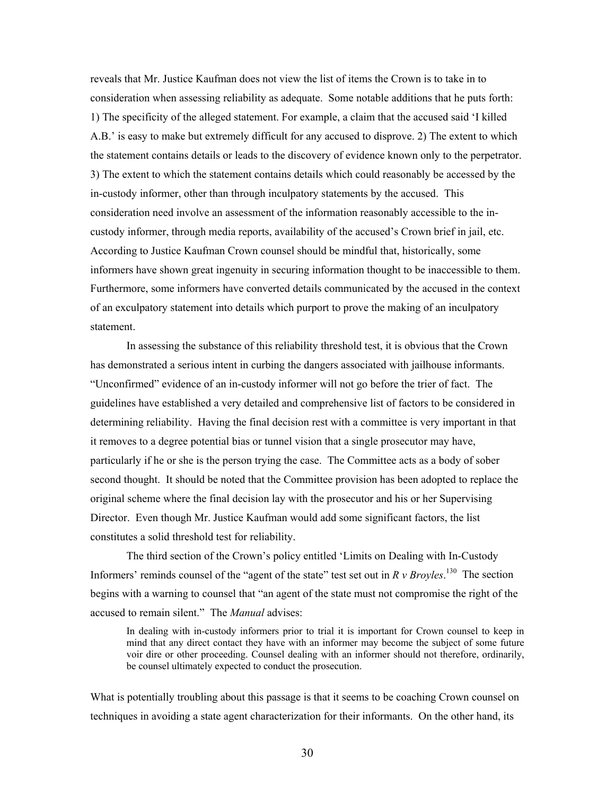reveals that Mr. Justice Kaufman does not view the list of items the Crown is to take in to consideration when assessing reliability as adequate. Some notable additions that he puts forth: 1) The specificity of the alleged statement. For example, a claim that the accused said 'I killed A.B.' is easy to make but extremely difficult for any accused to disprove. 2) The extent to which the statement contains details or leads to the discovery of evidence known only to the perpetrator. 3) The extent to which the statement contains details which could reasonably be accessed by the in-custody informer, other than through inculpatory statements by the accused. This consideration need involve an assessment of the information reasonably accessible to the incustody informer, through media reports, availability of the accused's Crown brief in jail, etc. According to Justice Kaufman Crown counsel should be mindful that, historically, some informers have shown great ingenuity in securing information thought to be inaccessible to them. Furthermore, some informers have converted details communicated by the accused in the context of an exculpatory statement into details which purport to prove the making of an inculpatory statement.

In assessing the substance of this reliability threshold test, it is obvious that the Crown has demonstrated a serious intent in curbing the dangers associated with jailhouse informants. "Unconfirmed" evidence of an in-custody informer will not go before the trier of fact. The guidelines have established a very detailed and comprehensive list of factors to be considered in determining reliability. Having the final decision rest with a committee is very important in that it removes to a degree potential bias or tunnel vision that a single prosecutor may have, particularly if he or she is the person trying the case. The Committee acts as a body of sober second thought. It should be noted that the Committee provision has been adopted to replace the original scheme where the final decision lay with the prosecutor and his or her Supervising Director. Even though Mr. Justice Kaufman would add some significant factors, the list constitutes a solid threshold test for reliability.

The third section of the Crown's policy entitled 'Limits on Dealing with In-Custody Informers' reminds counsel of the "agent of the state" test set out in  $R v Broyles.$ <sup>130</sup> The section begins with a warning to counsel that "an agent of the state must not compromise the right of the accused to remain silent." The *Manual* advises:

In dealing with in-custody informers prior to trial it is important for Crown counsel to keep in mind that any direct contact they have with an informer may become the subject of some future voir dire or other proceeding. Counsel dealing with an informer should not therefore, ordinarily, be counsel ultimately expected to conduct the prosecution.

What is potentially troubling about this passage is that it seems to be coaching Crown counsel on techniques in avoiding a state agent characterization for their informants. On the other hand, its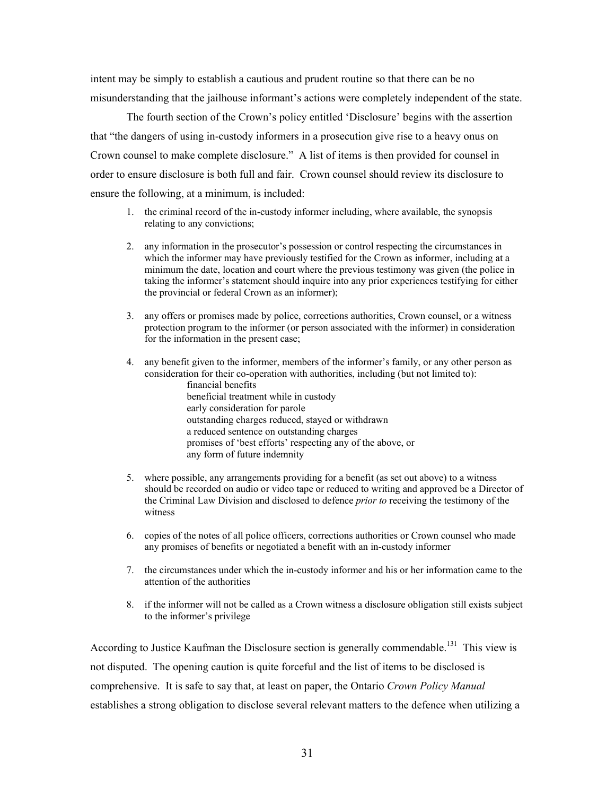intent may be simply to establish a cautious and prudent routine so that there can be no misunderstanding that the jailhouse informant's actions were completely independent of the state.

The fourth section of the Crown's policy entitled 'Disclosure' begins with the assertion that "the dangers of using in-custody informers in a prosecution give rise to a heavy onus on Crown counsel to make complete disclosure." A list of items is then provided for counsel in order to ensure disclosure is both full and fair. Crown counsel should review its disclosure to ensure the following, at a minimum, is included:

- 1. the criminal record of the in-custody informer including, where available, the synopsis relating to any convictions;
- 2. any information in the prosecutor's possession or control respecting the circumstances in which the informer may have previously testified for the Crown as informer, including at a minimum the date, location and court where the previous testimony was given (the police in taking the informer's statement should inquire into any prior experiences testifying for either the provincial or federal Crown as an informer);
- 3. any offers or promises made by police, corrections authorities, Crown counsel, or a witness protection program to the informer (or person associated with the informer) in consideration for the information in the present case;
- 4. any benefit given to the informer, members of the informer's family, or any other person as consideration for their co-operation with authorities, including (but not limited to): financial benefits beneficial treatment while in custody early consideration for parole outstanding charges reduced, stayed or withdrawn a reduced sentence on outstanding charges promises of 'best efforts' respecting any of the above, or any form of future indemnity
- 5. where possible, any arrangements providing for a benefit (as set out above) to a witness should be recorded on audio or video tape or reduced to writing and approved be a Director of the Criminal Law Division and disclosed to defence *prior to* receiving the testimony of the witness
- 6. copies of the notes of all police officers, corrections authorities or Crown counsel who made any promises of benefits or negotiated a benefit with an in-custody informer
- 7. the circumstances under which the in-custody informer and his or her information came to the attention of the authorities
- 8. if the informer will not be called as a Crown witness a disclosure obligation still exists subject to the informer's privilege

According to Justice Kaufman the Disclosure section is generally commendable.<sup>131</sup> This view is not disputed. The opening caution is quite forceful and the list of items to be disclosed is comprehensive. It is safe to say that, at least on paper, the Ontario *Crown Policy Manual* establishes a strong obligation to disclose several relevant matters to the defence when utilizing a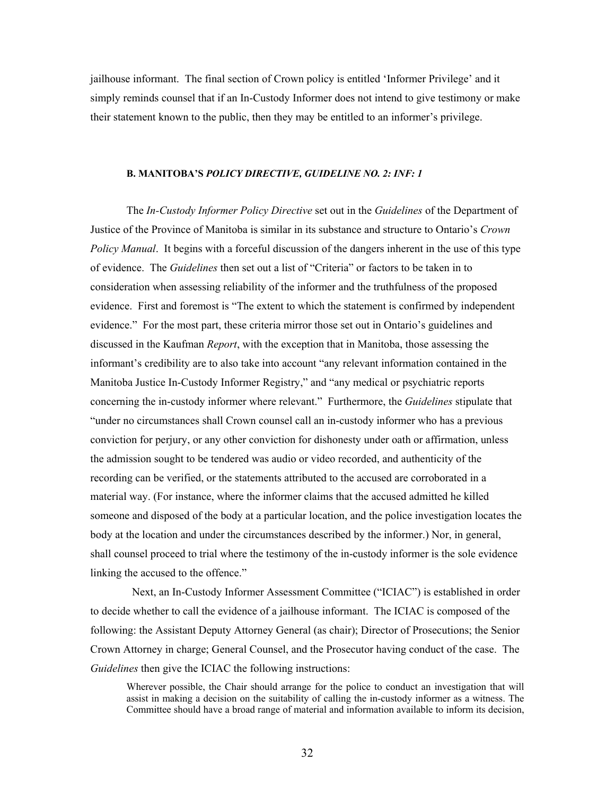jailhouse informant. The final section of Crown policy is entitled 'Informer Privilege' and it simply reminds counsel that if an In-Custody Informer does not intend to give testimony or make their statement known to the public, then they may be entitled to an informer's privilege.

#### **B. MANITOBA'S** *POLICY DIRECTIVE, GUIDELINE NO. 2: INF: 1*

The *In-Custody Informer Policy Directive* set out in the *Guidelines* of the Department of Justice of the Province of Manitoba is similar in its substance and structure to Ontario's *Crown Policy Manual*. It begins with a forceful discussion of the dangers inherent in the use of this type of evidence. The *Guidelines* then set out a list of "Criteria" or factors to be taken in to consideration when assessing reliability of the informer and the truthfulness of the proposed evidence. First and foremost is "The extent to which the statement is confirmed by independent evidence." For the most part, these criteria mirror those set out in Ontario's guidelines and discussed in the Kaufman *Report*, with the exception that in Manitoba, those assessing the informant's credibility are to also take into account "any relevant information contained in the Manitoba Justice In-Custody Informer Registry," and "any medical or psychiatric reports concerning the in-custody informer where relevant." Furthermore, the *Guidelines* stipulate that "under no circumstances shall Crown counsel call an in-custody informer who has a previous conviction for perjury, or any other conviction for dishonesty under oath or affirmation, unless the admission sought to be tendered was audio or video recorded, and authenticity of the recording can be verified, or the statements attributed to the accused are corroborated in a material way. (For instance, where the informer claims that the accused admitted he killed someone and disposed of the body at a particular location, and the police investigation locates the body at the location and under the circumstances described by the informer.) Nor, in general, shall counsel proceed to trial where the testimony of the in-custody informer is the sole evidence linking the accused to the offence."

 Next, an In-Custody Informer Assessment Committee ("ICIAC") is established in order to decide whether to call the evidence of a jailhouse informant. The ICIAC is composed of the following: the Assistant Deputy Attorney General (as chair); Director of Prosecutions; the Senior Crown Attorney in charge; General Counsel, and the Prosecutor having conduct of the case. The *Guidelines* then give the ICIAC the following instructions:

Wherever possible, the Chair should arrange for the police to conduct an investigation that will assist in making a decision on the suitability of calling the in-custody informer as a witness. The Committee should have a broad range of material and information available to inform its decision,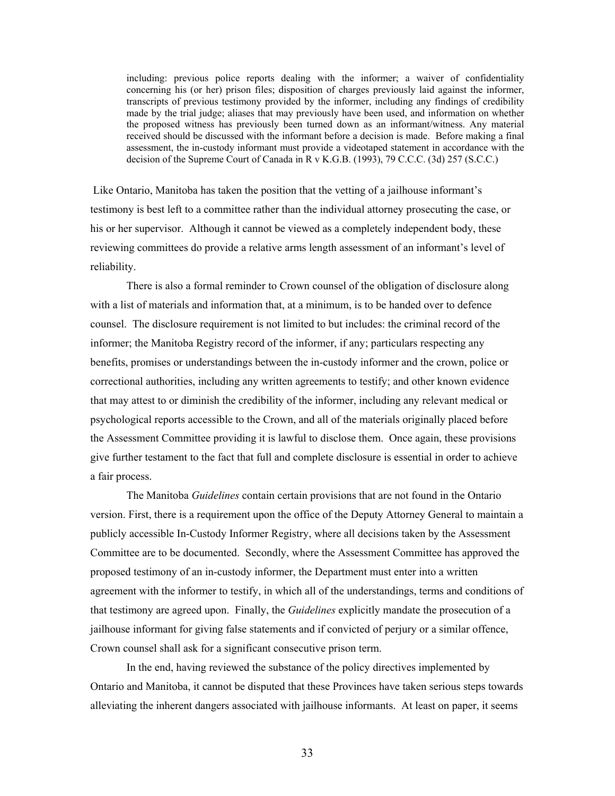including: previous police reports dealing with the informer; a waiver of confidentiality concerning his (or her) prison files; disposition of charges previously laid against the informer, transcripts of previous testimony provided by the informer, including any findings of credibility made by the trial judge; aliases that may previously have been used, and information on whether the proposed witness has previously been turned down as an informant/witness. Any material received should be discussed with the informant before a decision is made. Before making a final assessment, the in-custody informant must provide a videotaped statement in accordance with the decision of the Supreme Court of Canada in R v K.G.B. (1993), 79 C.C.C. (3d) 257 (S.C.C.)

 Like Ontario, Manitoba has taken the position that the vetting of a jailhouse informant's testimony is best left to a committee rather than the individual attorney prosecuting the case, or his or her supervisor. Although it cannot be viewed as a completely independent body, these reviewing committees do provide a relative arms length assessment of an informant's level of reliability.

There is also a formal reminder to Crown counsel of the obligation of disclosure along with a list of materials and information that, at a minimum, is to be handed over to defence counsel. The disclosure requirement is not limited to but includes: the criminal record of the informer; the Manitoba Registry record of the informer, if any; particulars respecting any benefits, promises or understandings between the in-custody informer and the crown, police or correctional authorities, including any written agreements to testify; and other known evidence that may attest to or diminish the credibility of the informer, including any relevant medical or psychological reports accessible to the Crown, and all of the materials originally placed before the Assessment Committee providing it is lawful to disclose them. Once again, these provisions give further testament to the fact that full and complete disclosure is essential in order to achieve a fair process.

The Manitoba *Guidelines* contain certain provisions that are not found in the Ontario version. First, there is a requirement upon the office of the Deputy Attorney General to maintain a publicly accessible In-Custody Informer Registry, where all decisions taken by the Assessment Committee are to be documented. Secondly, where the Assessment Committee has approved the proposed testimony of an in-custody informer, the Department must enter into a written agreement with the informer to testify, in which all of the understandings, terms and conditions of that testimony are agreed upon. Finally, the *Guidelines* explicitly mandate the prosecution of a jailhouse informant for giving false statements and if convicted of perjury or a similar offence, Crown counsel shall ask for a significant consecutive prison term.

In the end, having reviewed the substance of the policy directives implemented by Ontario and Manitoba, it cannot be disputed that these Provinces have taken serious steps towards alleviating the inherent dangers associated with jailhouse informants. At least on paper, it seems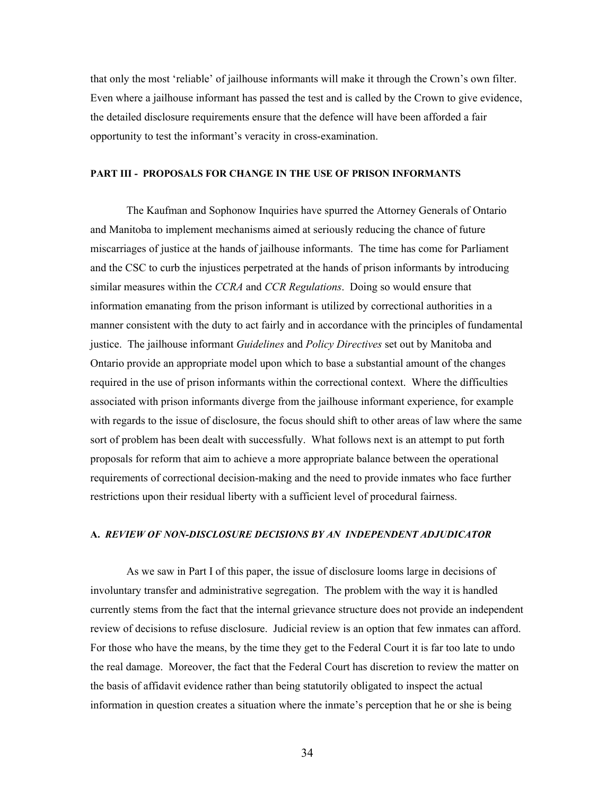that only the most 'reliable' of jailhouse informants will make it through the Crown's own filter. Even where a jailhouse informant has passed the test and is called by the Crown to give evidence, the detailed disclosure requirements ensure that the defence will have been afforded a fair opportunity to test the informant's veracity in cross-examination.

# **PART III - PROPOSALS FOR CHANGE IN THE USE OF PRISON INFORMANTS**

The Kaufman and Sophonow Inquiries have spurred the Attorney Generals of Ontario and Manitoba to implement mechanisms aimed at seriously reducing the chance of future miscarriages of justice at the hands of jailhouse informants. The time has come for Parliament and the CSC to curb the injustices perpetrated at the hands of prison informants by introducing similar measures within the *CCRA* and *CCR Regulations*. Doing so would ensure that information emanating from the prison informant is utilized by correctional authorities in a manner consistent with the duty to act fairly and in accordance with the principles of fundamental justice. The jailhouse informant *Guidelines* and *Policy Directives* set out by Manitoba and Ontario provide an appropriate model upon which to base a substantial amount of the changes required in the use of prison informants within the correctional context. Where the difficulties associated with prison informants diverge from the jailhouse informant experience, for example with regards to the issue of disclosure, the focus should shift to other areas of law where the same sort of problem has been dealt with successfully. What follows next is an attempt to put forth proposals for reform that aim to achieve a more appropriate balance between the operational requirements of correctional decision-making and the need to provide inmates who face further restrictions upon their residual liberty with a sufficient level of procedural fairness.

#### **A.** *REVIEW OF NON-DISCLOSURE DECISIONS BY AN INDEPENDENT ADJUDICATOR*

As we saw in Part I of this paper, the issue of disclosure looms large in decisions of involuntary transfer and administrative segregation. The problem with the way it is handled currently stems from the fact that the internal grievance structure does not provide an independent review of decisions to refuse disclosure. Judicial review is an option that few inmates can afford. For those who have the means, by the time they get to the Federal Court it is far too late to undo the real damage. Moreover, the fact that the Federal Court has discretion to review the matter on the basis of affidavit evidence rather than being statutorily obligated to inspect the actual information in question creates a situation where the inmate's perception that he or she is being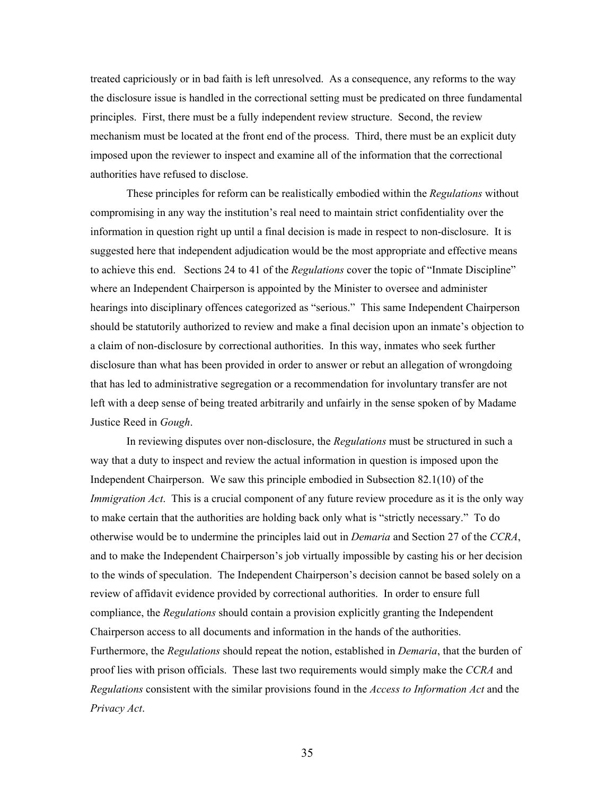treated capriciously or in bad faith is left unresolved. As a consequence, any reforms to the way the disclosure issue is handled in the correctional setting must be predicated on three fundamental principles. First, there must be a fully independent review structure. Second, the review mechanism must be located at the front end of the process. Third, there must be an explicit duty imposed upon the reviewer to inspect and examine all of the information that the correctional authorities have refused to disclose.

These principles for reform can be realistically embodied within the *Regulations* without compromising in any way the institution's real need to maintain strict confidentiality over the information in question right up until a final decision is made in respect to non-disclosure. It is suggested here that independent adjudication would be the most appropriate and effective means to achieve this end. Sections 24 to 41 of the *Regulations* cover the topic of "Inmate Discipline" where an Independent Chairperson is appointed by the Minister to oversee and administer hearings into disciplinary offences categorized as "serious." This same Independent Chairperson should be statutorily authorized to review and make a final decision upon an inmate's objection to a claim of non-disclosure by correctional authorities. In this way, inmates who seek further disclosure than what has been provided in order to answer or rebut an allegation of wrongdoing that has led to administrative segregation or a recommendation for involuntary transfer are not left with a deep sense of being treated arbitrarily and unfairly in the sense spoken of by Madame Justice Reed in *Gough*.

In reviewing disputes over non-disclosure, the *Regulations* must be structured in such a way that a duty to inspect and review the actual information in question is imposed upon the Independent Chairperson. We saw this principle embodied in Subsection 82.1(10) of the *Immigration Act*. This is a crucial component of any future review procedure as it is the only way to make certain that the authorities are holding back only what is "strictly necessary." To do otherwise would be to undermine the principles laid out in *Demaria* and Section 27 of the *CCRA*, and to make the Independent Chairperson's job virtually impossible by casting his or her decision to the winds of speculation. The Independent Chairperson's decision cannot be based solely on a review of affidavit evidence provided by correctional authorities. In order to ensure full compliance, the *Regulations* should contain a provision explicitly granting the Independent Chairperson access to all documents and information in the hands of the authorities. Furthermore, the *Regulations* should repeat the notion, established in *Demaria*, that the burden of proof lies with prison officials. These last two requirements would simply make the *CCRA* and *Regulations* consistent with the similar provisions found in the *Access to Information Act* and the *Privacy Act*.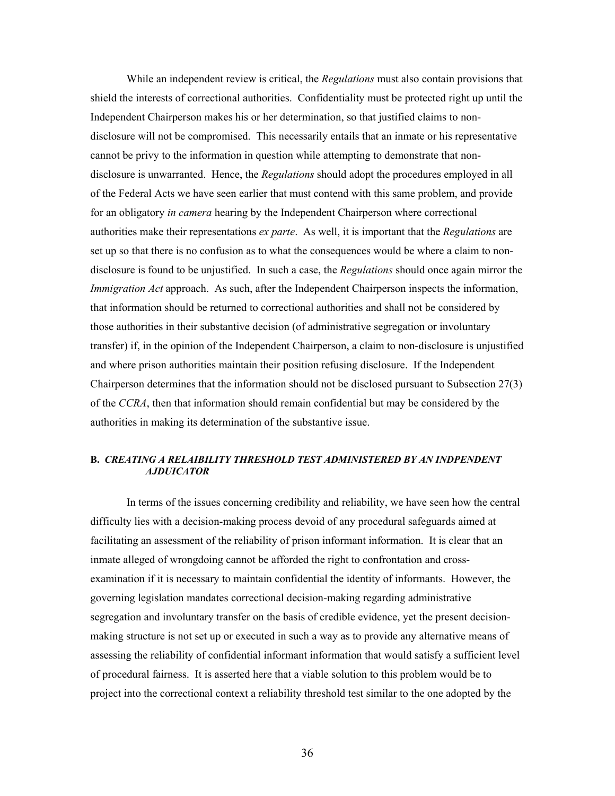While an independent review is critical, the *Regulations* must also contain provisions that shield the interests of correctional authorities. Confidentiality must be protected right up until the Independent Chairperson makes his or her determination, so that justified claims to nondisclosure will not be compromised. This necessarily entails that an inmate or his representative cannot be privy to the information in question while attempting to demonstrate that nondisclosure is unwarranted. Hence, the *Regulations* should adopt the procedures employed in all of the Federal Acts we have seen earlier that must contend with this same problem, and provide for an obligatory *in camera* hearing by the Independent Chairperson where correctional authorities make their representations *ex parte*. As well, it is important that the *Regulations* are set up so that there is no confusion as to what the consequences would be where a claim to nondisclosure is found to be unjustified. In such a case, the *Regulations* should once again mirror the *Immigration Act* approach. As such, after the Independent Chairperson inspects the information, that information should be returned to correctional authorities and shall not be considered by those authorities in their substantive decision (of administrative segregation or involuntary transfer) if, in the opinion of the Independent Chairperson, a claim to non-disclosure is unjustified and where prison authorities maintain their position refusing disclosure. If the Independent Chairperson determines that the information should not be disclosed pursuant to Subsection 27(3) of the *CCRA*, then that information should remain confidential but may be considered by the authorities in making its determination of the substantive issue.

# **B.** *CREATING A RELAIBILITY THRESHOLD TEST ADMINISTERED BY AN INDPENDENT AJDUICATOR*

In terms of the issues concerning credibility and reliability, we have seen how the central difficulty lies with a decision-making process devoid of any procedural safeguards aimed at facilitating an assessment of the reliability of prison informant information. It is clear that an inmate alleged of wrongdoing cannot be afforded the right to confrontation and crossexamination if it is necessary to maintain confidential the identity of informants. However, the governing legislation mandates correctional decision-making regarding administrative segregation and involuntary transfer on the basis of credible evidence, yet the present decisionmaking structure is not set up or executed in such a way as to provide any alternative means of assessing the reliability of confidential informant information that would satisfy a sufficient level of procedural fairness. It is asserted here that a viable solution to this problem would be to project into the correctional context a reliability threshold test similar to the one adopted by the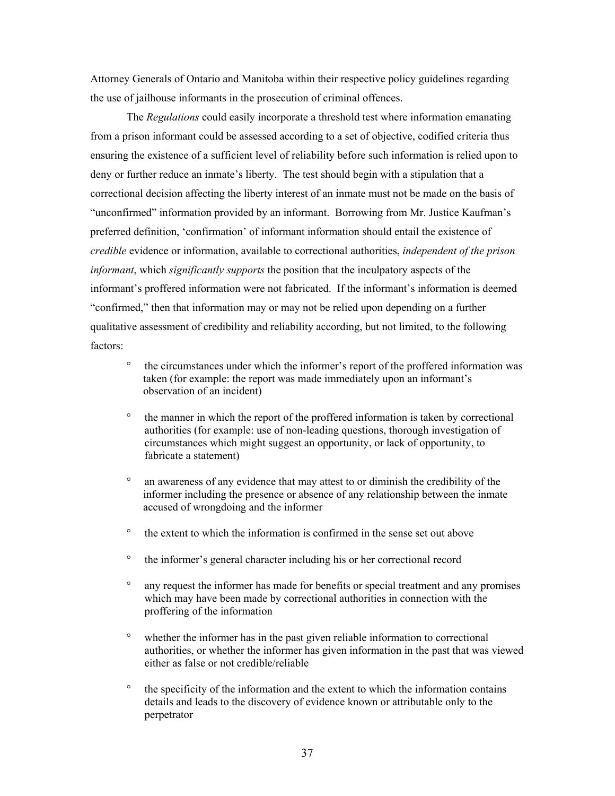Attorney Generals of Ontario and Manitoba within their respective policy guidelines regarding the use of jailhouse informants in the prosecution of criminal offences.

 The *Regulations* could easily incorporate a threshold test where information emanating from a prison informant could be assessed according to a set of objective, codified criteria thus ensuring the existence of a sufficient level of reliability before such information is relied upon to deny or further reduce an inmate's liberty. The test should begin with a stipulation that a correctional decision affecting the liberty interest of an inmate must not be made on the basis of "unconfirmed" information provided by an informant. Borrowing from Mr. Justice Kaufman's preferred definition, 'confirmation' of informant information should entail the existence of *credible* evidence or information, available to correctional authorities, *independent of the prison informant*, which *significantly supports* the position that the inculpatory aspects of the informant's proffered information were not fabricated. If the informant's information is deemed "confirmed," then that information may or may not be relied upon depending on a further qualitative assessment of credibility and reliability according, but not limited, to the following factors:

- ° the circumstances under which the informer's report of the proffered information was taken (for example: the report was made immediately upon an informant's observation of an incident)
- ° the manner in which the report of the proffered information is taken by correctional authorities (for example: use of non-leading questions, thorough investigation of circumstances which might suggest an opportunity, or lack of opportunity, to fabricate a statement)
- ° an awareness of any evidence that may attest to or diminish the credibility of the informer including the presence or absence of any relationship between the inmate accused of wrongdoing and the informer
- ° the extent to which the information is confirmed in the sense set out above
- ° the informer's general character including his or her correctional record
- ° any request the informer has made for benefits or special treatment and any promises which may have been made by correctional authorities in connection with the proffering of the information
- ° whether the informer has in the past given reliable information to correctional authorities, or whether the informer has given information in the past that was viewed either as false or not credible/reliable
- ° the specificity of the information and the extent to which the information contains details and leads to the discovery of evidence known or attributable only to the perpetrator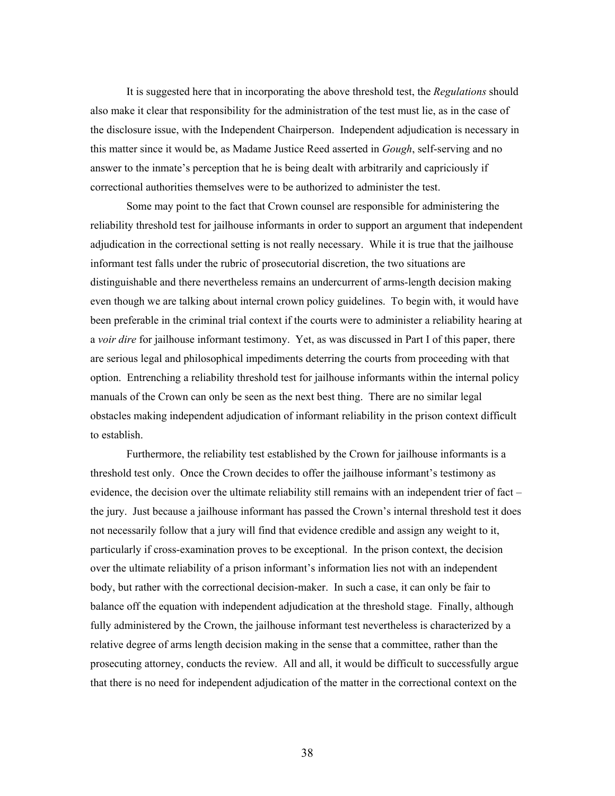It is suggested here that in incorporating the above threshold test, the *Regulations* should also make it clear that responsibility for the administration of the test must lie, as in the case of the disclosure issue, with the Independent Chairperson. Independent adjudication is necessary in this matter since it would be, as Madame Justice Reed asserted in *Gough*, self-serving and no answer to the inmate's perception that he is being dealt with arbitrarily and capriciously if correctional authorities themselves were to be authorized to administer the test.

Some may point to the fact that Crown counsel are responsible for administering the reliability threshold test for jailhouse informants in order to support an argument that independent adjudication in the correctional setting is not really necessary. While it is true that the jailhouse informant test falls under the rubric of prosecutorial discretion, the two situations are distinguishable and there nevertheless remains an undercurrent of arms-length decision making even though we are talking about internal crown policy guidelines. To begin with, it would have been preferable in the criminal trial context if the courts were to administer a reliability hearing at a *voir dire* for jailhouse informant testimony. Yet, as was discussed in Part I of this paper, there are serious legal and philosophical impediments deterring the courts from proceeding with that option. Entrenching a reliability threshold test for jailhouse informants within the internal policy manuals of the Crown can only be seen as the next best thing. There are no similar legal obstacles making independent adjudication of informant reliability in the prison context difficult to establish.

Furthermore, the reliability test established by the Crown for jailhouse informants is a threshold test only. Once the Crown decides to offer the jailhouse informant's testimony as evidence, the decision over the ultimate reliability still remains with an independent trier of fact – the jury. Just because a jailhouse informant has passed the Crown's internal threshold test it does not necessarily follow that a jury will find that evidence credible and assign any weight to it, particularly if cross-examination proves to be exceptional. In the prison context, the decision over the ultimate reliability of a prison informant's information lies not with an independent body, but rather with the correctional decision-maker. In such a case, it can only be fair to balance off the equation with independent adjudication at the threshold stage. Finally, although fully administered by the Crown, the jailhouse informant test nevertheless is characterized by a relative degree of arms length decision making in the sense that a committee, rather than the prosecuting attorney, conducts the review. All and all, it would be difficult to successfully argue that there is no need for independent adjudication of the matter in the correctional context on the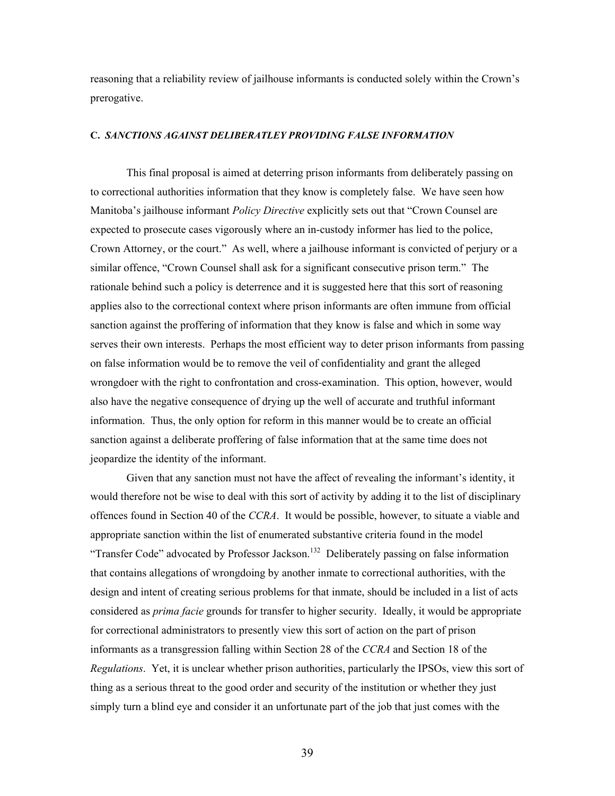reasoning that a reliability review of jailhouse informants is conducted solely within the Crown's prerogative.

#### **C.** *SANCTIONS AGAINST DELIBERATLEY PROVIDING FALSE INFORMATION*

This final proposal is aimed at deterring prison informants from deliberately passing on to correctional authorities information that they know is completely false. We have seen how Manitoba's jailhouse informant *Policy Directive* explicitly sets out that "Crown Counsel are expected to prosecute cases vigorously where an in-custody informer has lied to the police, Crown Attorney, or the court." As well, where a jailhouse informant is convicted of perjury or a similar offence, "Crown Counsel shall ask for a significant consecutive prison term." The rationale behind such a policy is deterrence and it is suggested here that this sort of reasoning applies also to the correctional context where prison informants are often immune from official sanction against the proffering of information that they know is false and which in some way serves their own interests. Perhaps the most efficient way to deter prison informants from passing on false information would be to remove the veil of confidentiality and grant the alleged wrongdoer with the right to confrontation and cross-examination. This option, however, would also have the negative consequence of drying up the well of accurate and truthful informant information. Thus, the only option for reform in this manner would be to create an official sanction against a deliberate proffering of false information that at the same time does not jeopardize the identity of the informant.

Given that any sanction must not have the affect of revealing the informant's identity, it would therefore not be wise to deal with this sort of activity by adding it to the list of disciplinary offences found in Section 40 of the *CCRA*. It would be possible, however, to situate a viable and appropriate sanction within the list of enumerated substantive criteria found in the model "Transfer Code" advocated by Professor Jackson.<sup>132</sup> Deliberately passing on false information that contains allegations of wrongdoing by another inmate to correctional authorities, with the design and intent of creating serious problems for that inmate, should be included in a list of acts considered as *prima facie* grounds for transfer to higher security. Ideally, it would be appropriate for correctional administrators to presently view this sort of action on the part of prison informants as a transgression falling within Section 28 of the *CCRA* and Section 18 of the *Regulations*. Yet, it is unclear whether prison authorities, particularly the IPSOs, view this sort of thing as a serious threat to the good order and security of the institution or whether they just simply turn a blind eye and consider it an unfortunate part of the job that just comes with the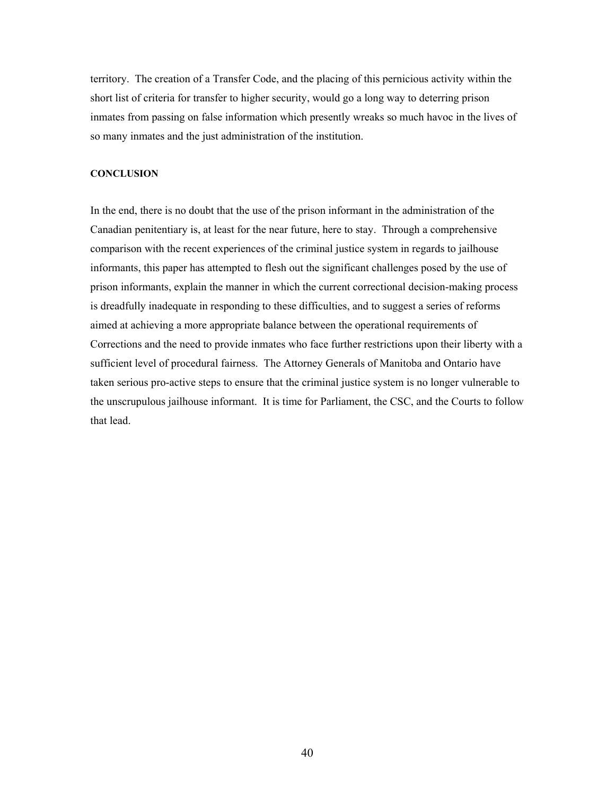territory. The creation of a Transfer Code, and the placing of this pernicious activity within the short list of criteria for transfer to higher security, would go a long way to deterring prison inmates from passing on false information which presently wreaks so much havoc in the lives of so many inmates and the just administration of the institution.

# **CONCLUSION**

In the end, there is no doubt that the use of the prison informant in the administration of the Canadian penitentiary is, at least for the near future, here to stay. Through a comprehensive comparison with the recent experiences of the criminal justice system in regards to jailhouse informants, this paper has attempted to flesh out the significant challenges posed by the use of prison informants, explain the manner in which the current correctional decision-making process is dreadfully inadequate in responding to these difficulties, and to suggest a series of reforms aimed at achieving a more appropriate balance between the operational requirements of Corrections and the need to provide inmates who face further restrictions upon their liberty with a sufficient level of procedural fairness. The Attorney Generals of Manitoba and Ontario have taken serious pro-active steps to ensure that the criminal justice system is no longer vulnerable to the unscrupulous jailhouse informant. It is time for Parliament, the CSC, and the Courts to follow that lead.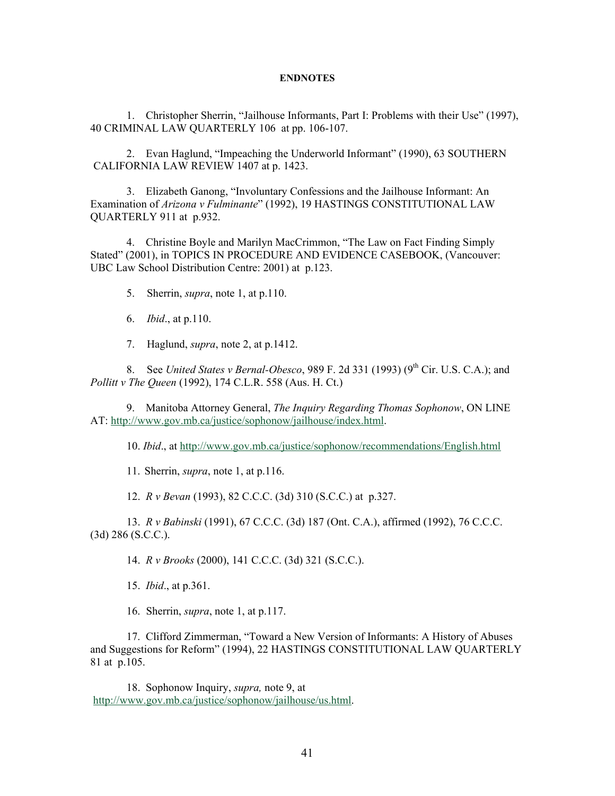## **ENDNOTES**

1. Christopher Sherrin, "Jailhouse Informants, Part I: Problems with their Use" (1997), 40 CRIMINAL LAW QUARTERLY 106 at pp. 106-107.

2. Evan Haglund, "Impeaching the Underworld Informant" (1990), 63 SOUTHERN CALIFORNIA LAW REVIEW 1407 at p. 1423.

3. Elizabeth Ganong, "Involuntary Confessions and the Jailhouse Informant: An Examination of *Arizona v Fulminante*" (1992), 19 HASTINGS CONSTITUTIONAL LAW QUARTERLY 911 at p.932.

4. Christine Boyle and Marilyn MacCrimmon, "The Law on Fact Finding Simply Stated" (2001), in TOPICS IN PROCEDURE AND EVIDENCE CASEBOOK. (Vancouver: UBC Law School Distribution Centre: 2001) at p.123.

5. Sherrin, *supra*, note 1, at p.110.

6. *Ibid*., at p.110.

7. Haglund, *supra*, note 2, at p.1412.

8. See *United States v Bernal-Obesco*, 989 F. 2d 331 (1993) (9<sup>th</sup> Cir. U.S. C.A.); and *Pollitt v The Queen* (1992), 174 C.L.R. 558 (Aus. H. Ct.)

9. Manitoba Attorney General, *The Inquiry Regarding Thomas Sophonow*, ON LINE AT:<http://www.gov.mb.ca/justice/sophonow/jailhouse/index.html>.

10. *Ibid*., at<http://www.gov.mb.ca/justice/sophonow/recommendations/English.html>

11. Sherrin, *supra*, note 1, at p.116.

12. *R v Bevan* (1993), 82 C.C.C. (3d) 310 (S.C.C.) at p.327.

13. *R v Babinski* (1991), 67 C.C.C. (3d) 187 (Ont. C.A.), affirmed (1992), 76 C.C.C. (3d) 286 (S.C.C.).

14. *R v Brooks* (2000), 141 C.C.C. (3d) 321 (S.C.C.).

15. *Ibid*., at p.361.

16. Sherrin, *supra*, note 1, at p.117.

17. Clifford Zimmerman, "Toward a New Version of Informants: A History of Abuses and Suggestions for Reform" (1994), 22 HASTINGS CONSTITUTIONAL LAW QUARTERLY 81 at p.105.

18. Sophonow Inquiry, *supra,* note 9, at [http://www.gov.mb.ca/justice/sophonow/jailhouse/us.html.](http://www.gov.mb.ca/justice/sophonow/jailhouse/index.html)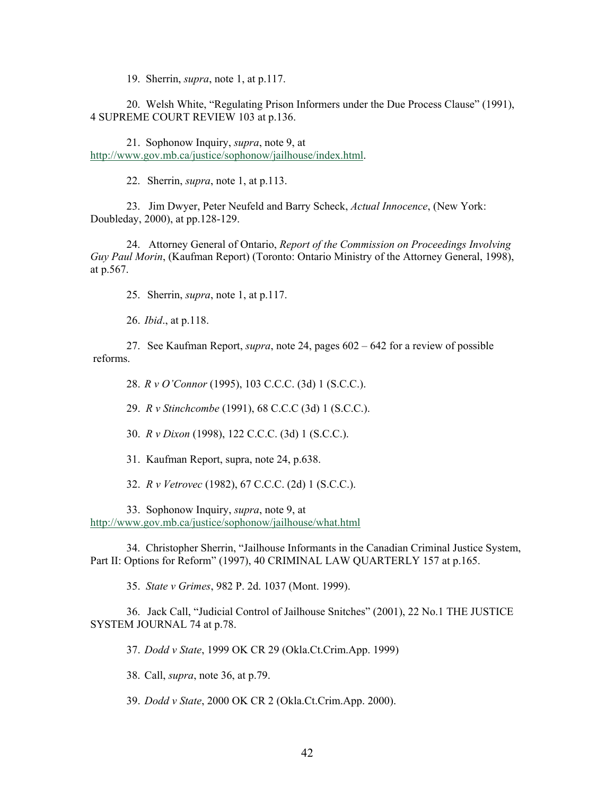19. Sherrin, *supra*, note 1, at p.117.

20. Welsh White, "Regulating Prison Informers under the Due Process Clause" (1991), 4 SUPREME COURT REVIEW 103 at p.136.

21. Sophonow Inquiry, *supra*, note 9, at [http://www.gov.mb.ca/justice/sophonow/jailhouse/index.html.](http://www.gov.mb.ca/justice/sophonow/jailhouse/index.html)

22. Sherrin, *supra*, note 1, at p.113.

23. Jim Dwyer, Peter Neufeld and Barry Scheck, *Actual Innocence*, (New York: Doubleday, 2000), at pp.128-129.

24. Attorney General of Ontario, *Report of the Commission on Proceedings Involving Guy Paul Morin*, (Kaufman Report) (Toronto: Ontario Ministry of the Attorney General, 1998), at p.567.

25. Sherrin, *supra*, note 1, at p.117.

26. *Ibid*., at p.118.

27. See Kaufman Report, *supra*, note 24, pages 602 – 642 for a review of possible reforms.

28. *R v O'Connor* (1995), 103 C.C.C. (3d) 1 (S.C.C.).

29. *R v Stinchcombe* (1991), 68 C.C.C (3d) 1 (S.C.C.).

30. *R v Dixon* (1998), 122 C.C.C. (3d) 1 (S.C.C.).

31. Kaufman Report, supra, note 24, p.638.

32. *R v Vetrovec* (1982), 67 C.C.C. (2d) 1 (S.C.C.).

33. Sophonow Inquiry, *supra*, note 9, at [http://www.gov.mb.ca/justice/sophonow/jailhouse/what.html](http://www.gov.mb.ca/justice/sophonow/jailhouse/index.html)

34. Christopher Sherrin, "Jailhouse Informants in the Canadian Criminal Justice System, Part II: Options for Reform" (1997), 40 CRIMINAL LAW QUARTERLY 157 at p.165.

35. *State v Grimes*, 982 P. 2d. 1037 (Mont. 1999).

36. Jack Call, "Judicial Control of Jailhouse Snitches" (2001), 22 No.1 THE JUSTICE SYSTEM JOURNAL 74 at p.78.

37. *Dodd v State*, 1999 OK CR 29 (Okla.Ct.Crim.App. 1999)

38. Call, *supra*, note 36, at p.79.

39. *Dodd v State*, 2000 OK CR 2 (Okla.Ct.Crim.App. 2000).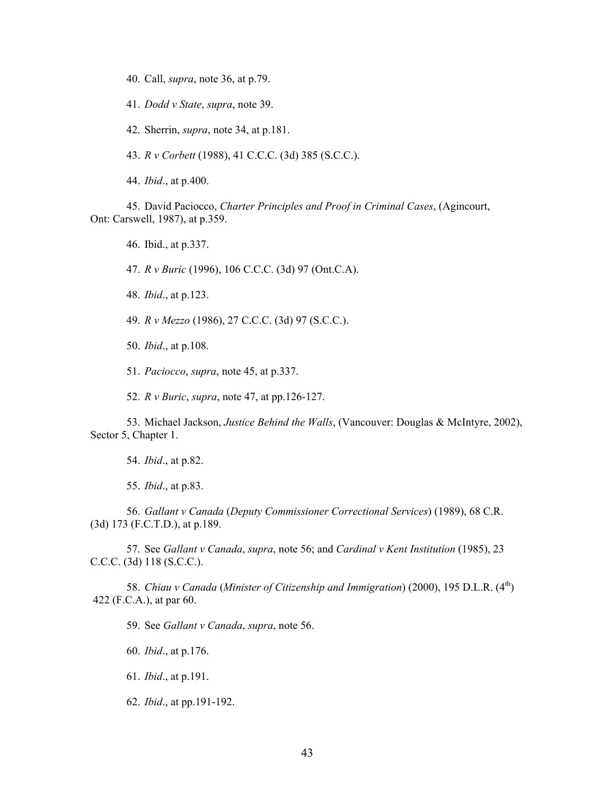40. Call, *supra*, note 36, at p.79.

41. *Dodd v State*, *supra*, note 39.

42. Sherrin, *supra*, note 34, at p.181.

43. *R v Corbett* (1988), 41 C.C.C. (3d) 385 (S.C.C.).

44. *Ibid*., at p.400.

45. David Paciocco, *Charter Principles and Proof in Criminal Cases*, (Agincourt, Ont: Carswell, 1987), at p.359.

46. Ibid., at p.337.

47. *R v Buric* (1996), 106 C.C.C. (3d) 97 (Ont.C.A).

48. *Ibid*., at p.123.

49. *R v Mezzo* (1986), 27 C.C.C. (3d) 97 (S.C.C.).

50. *Ibid*., at p.108.

51. *Paciocco*, *supra*, note 45, at p.337.

52. *R v Buric*, *supra*, note 47, at pp.126-127.

53. Michael Jackson, *Justice Behind the Walls*, (Vancouver: Douglas & McIntyre, 2002), Sector 5, Chapter 1.

54. *Ibid*., at p.82.

55. *Ibid*., at p.83.

56. *Gallant v Canada* (*Deputy Commissioner Correctional Services*) (1989), 68 C.R. (3d) 173 (F.C.T.D.), at p.189.

57. See *Gallant v Canada*, *supra*, note 56; and *Cardinal v Kent Institution* (1985), 23 C.C.C. (3d) 118 (S.C.C.).

58. *Chiau v Canada* (*Minister of Citizenship and Immigration*) (2000), 195 D.L.R. (4th) 422 (F.C.A.), at par 60.

59. See *Gallant v Canada*, *supra*, note 56.

60. *Ibid*., at p.176.

61. *Ibid*., at p.191.

62. *Ibid*., at pp.191-192.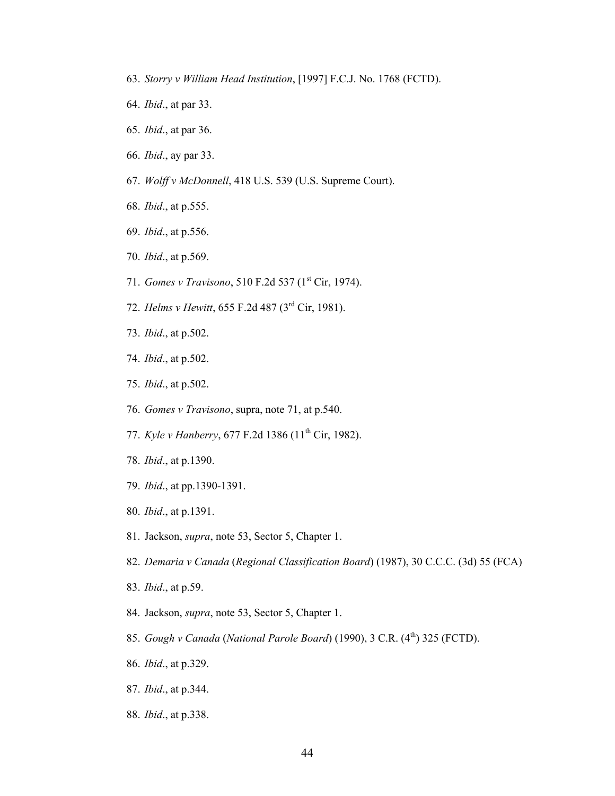- 63. *Storry v William Head Institution*, [1997] F.C.J. No. 1768 (FCTD).
- 64. *Ibid*., at par 33.
- 65. *Ibid*., at par 36.
- 66. *Ibid*., ay par 33.
- 67. *Wolff v McDonnell*, 418 U.S. 539 (U.S. Supreme Court).
- 68. *Ibid*., at p.555.
- 69. *Ibid*., at p.556.
- 70. *Ibid*., at p.569.
- 71. *Gomes v Travisono*, 510 F.2d 537 (1<sup>st</sup> Cir, 1974).
- 72. *Helms v Hewitt*, 655 F.2d 487 (3rd Cir, 1981).
- 73. *Ibid*., at p.502.
- 74. *Ibid*., at p.502.
- 75. *Ibid*., at p.502.
- 76. *Gomes v Travisono*, supra, note 71, at p.540.
- 77. *Kyle v Hanberry*, 677 F.2d 1386 (11<sup>th</sup> Cir, 1982).
- 78. *Ibid*., at p.1390.
- 79. *Ibid*., at pp.1390-1391.
- 80. *Ibid*., at p.1391.
- 81. Jackson, *supra*, note 53, Sector 5, Chapter 1.
- 82. *Demaria v Canada* (*Regional Classification Board*) (1987), 30 C.C.C. (3d) 55 (FCA)
- 83. *Ibid*., at p.59.
- 84. Jackson, *supra*, note 53, Sector 5, Chapter 1.
- 85. *Gough v Canada* (*National Parole Board*) (1990), 3 C.R. (4<sup>th</sup>) 325 (FCTD).
- 86. *Ibid*., at p.329.
- 87. *Ibid*., at p.344.
- 88. *Ibid*., at p.338.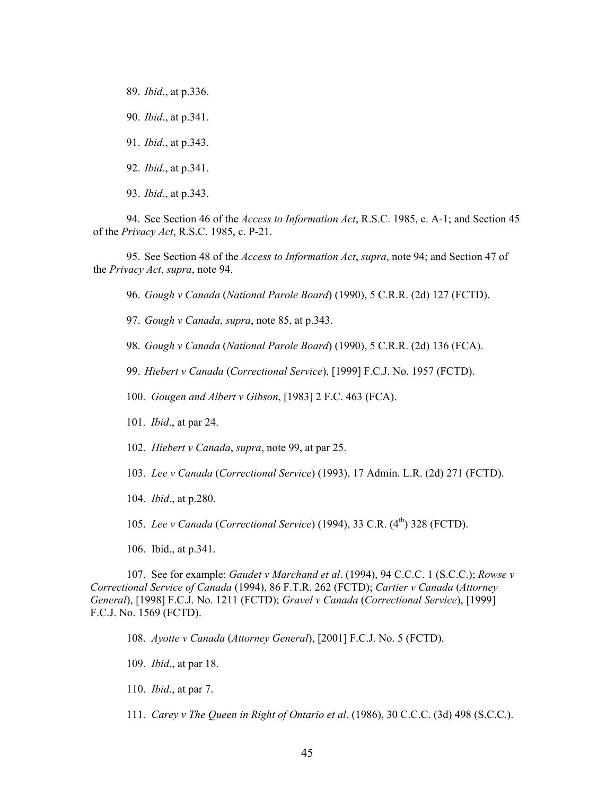89. *Ibid*., at p.336.

90. *Ibid*., at p.341.

91. *Ibid*., at p.343.

92. *Ibid*., at p.341.

93. *Ibid*., at p.343.

94. See Section 46 of the *Access to Information Act*, R.S.C. 1985, c. A-1; and Section 45 of the *Privacy Act*, R.S.C. 1985, c. P-21.

95. See Section 48 of the *Access to Information Act*, *supra*, note 94; and Section 47 of the *Privacy Act*, *supra*, note 94.

96. *Gough v Canada* (*National Parole Board*) (1990), 5 C.R.R. (2d) 127 (FCTD).

97. *Gough v Canada*, *supra*, note 85, at p.343.

98. *Gough v Canada* (*National Parole Board*) (1990), 5 C.R.R. (2d) 136 (FCA).

99. *Hiebert v Canada* (*Correctional Service*), [1999] F.C.J. No. 1957 (FCTD).

100. *Gougen and Albert v Gibson*, [1983] 2 F.C. 463 (FCA).

101. *Ibid*., at par 24.

102. *Hiebert v Canada*, *supra*, note 99, at par 25.

103. *Lee v Canada* (*Correctional Service*) (1993), 17 Admin. L.R. (2d) 271 (FCTD).

104. *Ibid*., at p.280.

105. *Lee v Canada* (*Correctional Service*) (1994), 33 C.R. (4<sup>th</sup>) 328 (FCTD).

106. Ibid., at p.341.

107. See for example: *Gaudet v Marchand et al*. (1994), 94 C.C.C. 1 (S.C.C.); *Rowse v Correctional Service of Canada* (1994), 86 F.T.R. 262 (FCTD); *Cartier v Canada* (*Attorney General*), [1998] F.C.J. No. 1211 (FCTD); *Gravel v Canada* (*Correctional Service*), [1999] F.C.J. No. 1569 (FCTD).

108. *Ayotte v Canada* (*Attorney General*), [2001] F.C.J. No. 5 (FCTD).

109. *Ibid*., at par 18.

110. *Ibid*., at par 7.

111. *Carey v The Queen in Right of Ontario et al*. (1986), 30 C.C.C. (3d) 498 (S.C.C.).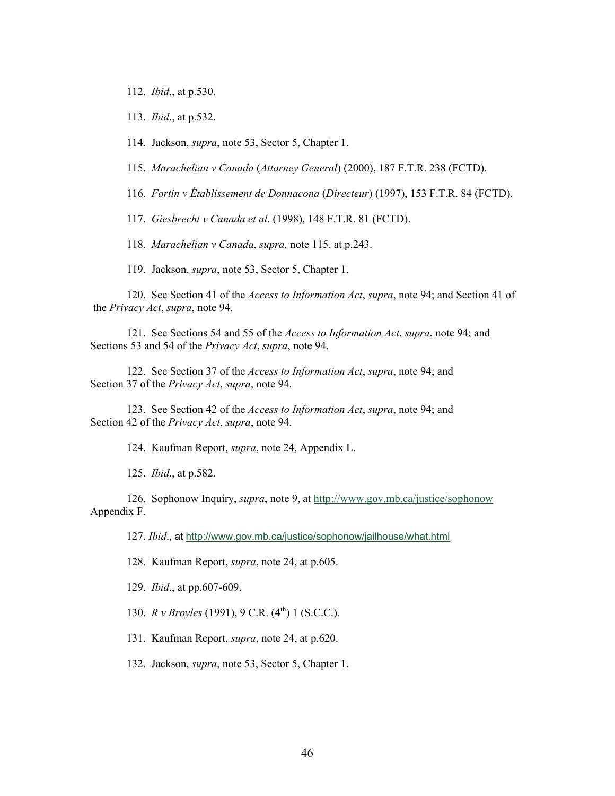112. *Ibid*., at p.530.

113. *Ibid*., at p.532.

114. Jackson, *supra*, note 53, Sector 5, Chapter 1.

115. *Marachelian v Canada* (*Attorney General*) (2000), 187 F.T.R. 238 (FCTD).

116. *Fortin v Établissement de Donnacona* (*Directeur*) (1997), 153 F.T.R. 84 (FCTD).

117. *Giesbrecht v Canada et al*. (1998), 148 F.T.R. 81 (FCTD).

118. *Marachelian v Canada*, *supra,* note 115, at p.243.

119. Jackson, *supra*, note 53, Sector 5, Chapter 1.

120. See Section 41 of the *Access to Information Act*, *supra*, note 94; and Section 41 of the *Privacy Act*, *supra*, note 94.

121. See Sections 54 and 55 of the *Access to Information Act*, *supra*, note 94; and Sections 53 and 54 of the *Privacy Act*, *supra*, note 94.

122. See Section 37 of the *Access to Information Act*, *supra*, note 94; and Section 37 of the *Privacy Act*, *supra*, note 94.

123. See Section 42 of the *Access to Information Act*, *supra*, note 94; and Section 42 of the *Privacy Act*, *supra*, note 94.

124. Kaufman Report, *supra*, note 24, Appendix L.

125. *Ibid*., at p.582.

126. Sophonow Inquiry, *supra*, note 9, at<http://www.gov.mb.ca/justice/sophonow> Appendix F.

127. *Ibid*., at [http://www.gov.mb.ca/justice/sophonow/jailhouse/what.html](http://www.gov.mb.ca/justice/sophonow/jailhouse/index.html)

128. Kaufman Report, *supra*, note 24, at p.605.

129. *Ibid*., at pp.607-609.

130. *R v Broyles* (1991), 9 C.R.  $(4^{th})$  1 (S.C.C.).

131. Kaufman Report, *supra*, note 24, at p.620.

132. Jackson, *supra*, note 53, Sector 5, Chapter 1.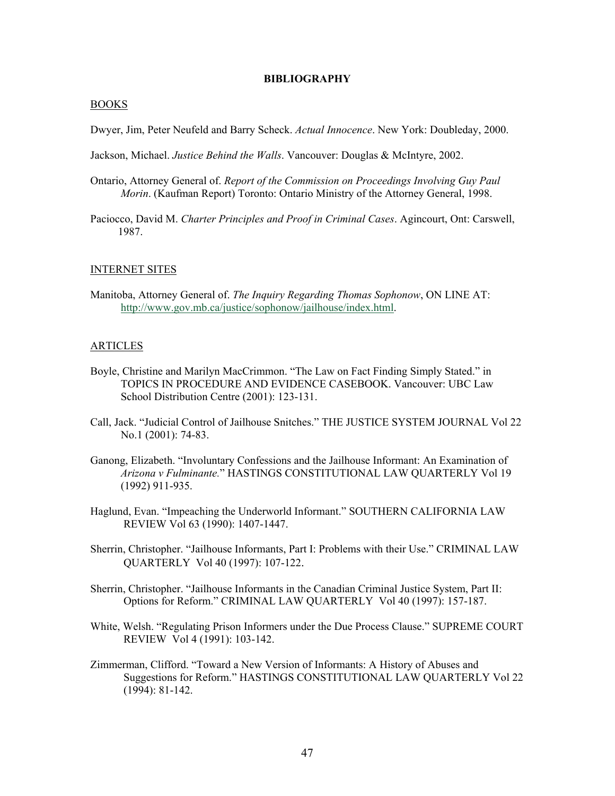#### **BIBLIOGRAPHY**

#### BOOKS

Dwyer, Jim, Peter Neufeld and Barry Scheck. *Actual Innocence*. New York: Doubleday, 2000.

Jackson, Michael. *Justice Behind the Walls*. Vancouver: Douglas & McIntyre, 2002.

- Ontario, Attorney General of. *Report of the Commission on Proceedings Involving Guy Paul Morin*. (Kaufman Report) Toronto: Ontario Ministry of the Attorney General, 1998.
- Paciocco, David M. *Charter Principles and Proof in Criminal Cases*. Agincourt, Ont: Carswell, 1987.

#### INTERNET SITES

Manitoba, Attorney General of. *The Inquiry Regarding Thomas Sophonow*, ON LINE AT: <http://www.gov.mb.ca/justice/sophonow/jailhouse/index.html>.

#### ARTICLES

- Boyle, Christine and Marilyn MacCrimmon. "The Law on Fact Finding Simply Stated." in TOPICS IN PROCEDURE AND EVIDENCE CASEBOOK. Vancouver: UBC Law School Distribution Centre (2001): 123-131.
- Call, Jack. "Judicial Control of Jailhouse Snitches." THE JUSTICE SYSTEM JOURNAL Vol 22 No.1 (2001): 74-83.
- Ganong, Elizabeth. "Involuntary Confessions and the Jailhouse Informant: An Examination of *Arizona v Fulminante.*" HASTINGS CONSTITUTIONAL LAW QUARTERLY Vol 19 (1992) 911-935.
- Haglund, Evan. "Impeaching the Underworld Informant." SOUTHERN CALIFORNIA LAW REVIEW Vol 63 (1990): 1407-1447.
- Sherrin, Christopher. "Jailhouse Informants, Part I: Problems with their Use." CRIMINAL LAW QUARTERLY Vol 40 (1997): 107-122.
- Sherrin, Christopher. "Jailhouse Informants in the Canadian Criminal Justice System, Part II: Options for Reform." CRIMINAL LAW QUARTERLY Vol 40 (1997): 157-187.
- White, Welsh. "Regulating Prison Informers under the Due Process Clause." SUPREME COURT REVIEW Vol 4 (1991): 103-142.
- Zimmerman, Clifford. "Toward a New Version of Informants: A History of Abuses and Suggestions for Reform." HASTINGS CONSTITUTIONAL LAW QUARTERLY Vol 22 (1994): 81-142.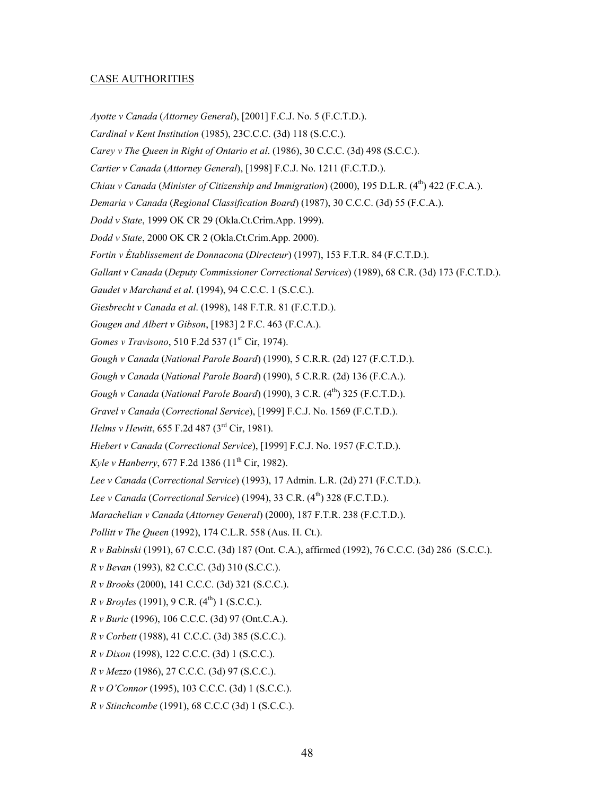# CASE AUTHORITIES

- *Ayotte v Canada* (*Attorney General*), [2001] F.C.J. No. 5 (F.C.T.D.).
- *Cardinal v Kent Institution* (1985), 23C.C.C. (3d) 118 (S.C.C.).
- *Carey v The Queen in Right of Ontario et al*. (1986), 30 C.C.C. (3d) 498 (S.C.C.).
- *Cartier v Canada* (*Attorney General*), [1998] F.C.J. No. 1211 (F.C.T.D.).
- *Chiau v Canada* (*Minister of Citizenship and Immigration*) (2000), 195 D.L.R.  $(4^{th})$  422 (F.C.A.).
- *Demaria v Canada* (*Regional Classification Board*) (1987), 30 C.C.C. (3d) 55 (F.C.A.).
- *Dodd v State*, 1999 OK CR 29 (Okla.Ct.Crim.App. 1999).
- *Dodd v State*, 2000 OK CR 2 (Okla.Ct.Crim.App. 2000).
- *Fortin v Établissement de Donnacona* (*Directeur*) (1997), 153 F.T.R. 84 (F.C.T.D.).
- *Gallant v Canada* (*Deputy Commissioner Correctional Services*) (1989), 68 C.R. (3d) 173 (F.C.T.D.).
- *Gaudet v Marchand et al*. (1994), 94 C.C.C. 1 (S.C.C.).
- *Giesbrecht v Canada et al*. (1998), 148 F.T.R. 81 (F.C.T.D.).
- *Gougen and Albert v Gibson*, [1983] 2 F.C. 463 (F.C.A.).
- *Gomes v Travisono*, 510 F.2d 537 (1<sup>st</sup> Cir, 1974).
- *Gough v Canada* (*National Parole Board*) (1990), 5 C.R.R. (2d) 127 (F.C.T.D.).
- *Gough v Canada* (*National Parole Board*) (1990), 5 C.R.R. (2d) 136 (F.C.A.).
- *Gough v Canada* (*National Parole Board*) (1990), 3 C.R. (4<sup>th</sup>) 325 (F.C.T.D.).
- *Gravel v Canada* (*Correctional Service*), [1999] F.C.J. No. 1569 (F.C.T.D.).
- *Helms v Hewitt*, 655 F.2d 487 (3rd Cir, 1981).
- *Hiebert v Canada* (*Correctional Service*), [1999] F.C.J. No. 1957 (F.C.T.D.).
- *Kyle v Hanberry*, 677 F.2d 1386 (11<sup>th</sup> Cir, 1982).
- *Lee v Canada* (*Correctional Service*) (1993), 17 Admin. L.R. (2d) 271 (F.C.T.D.).
- *Lee v Canada* (*Correctional Service*) (1994), 33 C.R. (4<sup>th</sup>) 328 (F.C.T.D.).
- *Marachelian v Canada* (*Attorney General*) (2000), 187 F.T.R. 238 (F.C.T.D.).
- *Pollitt v The Queen* (1992), 174 C.L.R. 558 (Aus. H. Ct.).
- *R v Babinski* (1991), 67 C.C.C. (3d) 187 (Ont. C.A.), affirmed (1992), 76 C.C.C. (3d) 286 (S.C.C.).
- *R v Bevan* (1993), 82 C.C.C. (3d) 310 (S.C.C.).
- *R v Brooks* (2000), 141 C.C.C. (3d) 321 (S.C.C.).
- $R \, v$  *Broyles* (1991), 9 C.R. (4<sup>th</sup>) 1 (S.C.C.).
- *R v Buric* (1996), 106 C.C.C. (3d) 97 (Ont.C.A.).
- *R v Corbett* (1988), 41 C.C.C. (3d) 385 (S.C.C.).
- *R v Dixon* (1998), 122 C.C.C. (3d) 1 (S.C.C.).
- *R v Mezzo* (1986), 27 C.C.C. (3d) 97 (S.C.C.).
- *R v O'Connor* (1995), 103 C.C.C. (3d) 1 (S.C.C.).
- *R v Stinchcombe* (1991), 68 C.C.C (3d) 1 (S.C.C.).